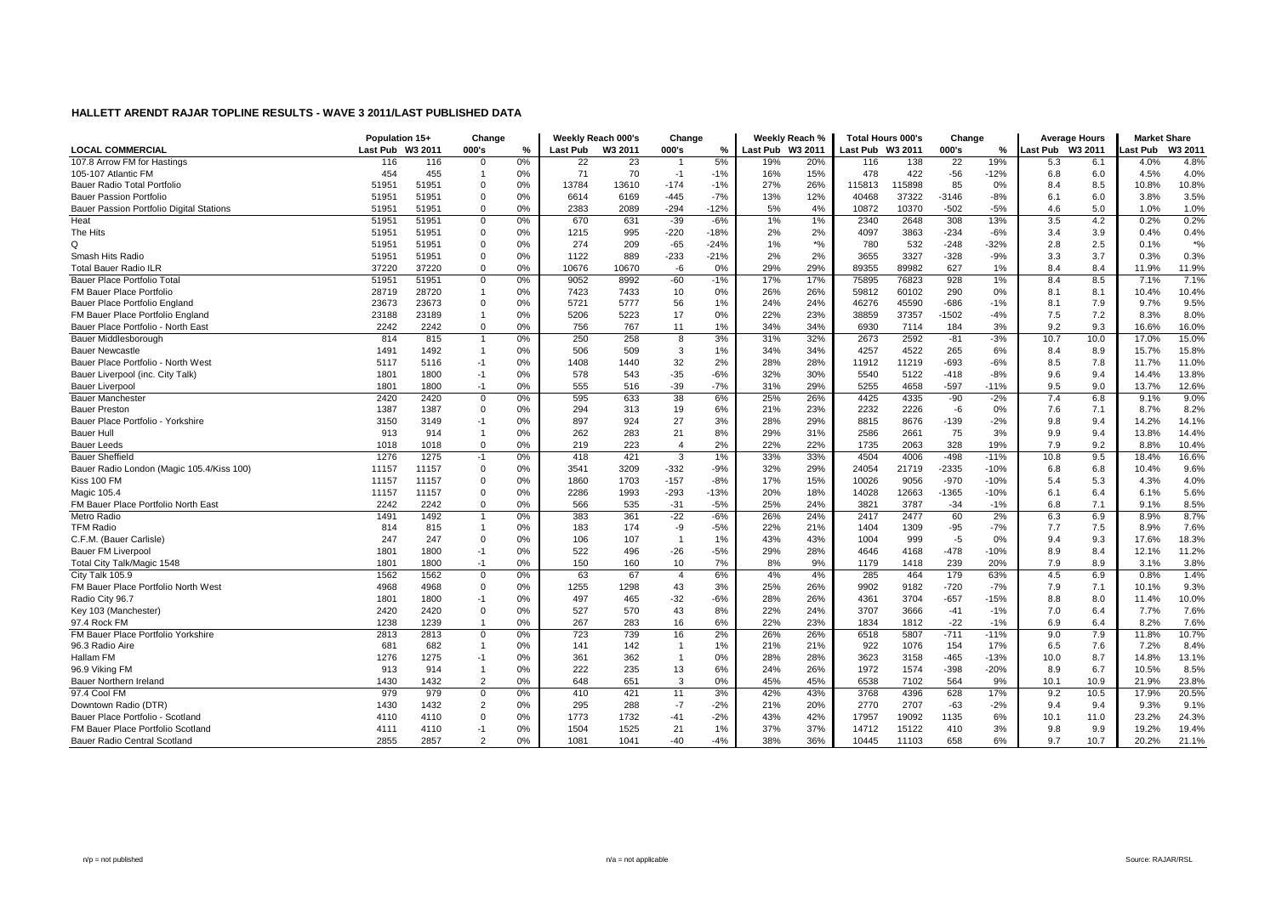|                                           | Population 15+   |       | Change         |    | Weekly Reach 000's |         | Change         |        |                  | Weekly Reach % | <b>Total Hours 000's</b> |        | Change  |        | <b>Average Hours</b> |      | <b>Market Share</b> |         |
|-------------------------------------------|------------------|-------|----------------|----|--------------------|---------|----------------|--------|------------------|----------------|--------------------------|--------|---------|--------|----------------------|------|---------------------|---------|
| <b>LOCAL COMMERCIAL</b>                   | Last Pub W3 2011 |       | 000's          | %  | <b>Last Pub</b>    | W3 2011 | 000's          | %      | Last Pub W3 2011 |                | Last Pub W3 2011         |        | 000's   | %      | Last Pub W3 2011     |      | ast Pub             | W3 2011 |
| 107.8 Arrow FM for Hastings               | 116              | 116   | $\overline{0}$ | 0% | 22                 | 23      |                | 5%     | 19%              | 20%            | 116                      | 138    | 22      | 19%    | 5.3                  | 6.1  | 4.0%                | 4.8%    |
| 105-107 Atlantic FM                       | 454              | 455   |                | 0% | 71                 | 70      | $-1$           | $-1%$  | 16%              | 15%            | 478                      | 422    | $-56$   | $-12%$ | 6.8                  | 6.0  | 4.5%                | 4.0%    |
| Bauer Radio Total Portfolio               | 51951            | 51951 | $\Omega$       | 0% | 13784              | 13610   | $-174$         | $-1%$  | 27%              | 26%            | 115813                   | 115898 | 85      | 0%     | 8.4                  | 8.5  | 10.8%               | 10.8%   |
| <b>Bauer Passion Portfolio</b>            | 51951            | 51951 | $\overline{0}$ | 0% | 6614               | 6169    | $-445$         | $-7%$  | 13%              | 12%            | 40468                    | 37322  | $-3146$ | $-8%$  | 6.1                  | 6.0  | 3.8%                | 3.5%    |
| Bauer Passion Portfolio Digital Stations  | 5195             | 51951 | $\Omega$       | 0% | 2383               | 2089    | $-294$         | $-12%$ | 5%               | 4%             | 10872                    | 10370  | $-502$  | $-5%$  | 4.6                  | 5.0  | 1.0%                | 1.0%    |
| Heat                                      | 5195             | 51951 | $\overline{0}$ | 0% | 670                | 631     | $-39$          | $-6%$  | 1%               | 1%             | 2340                     | 2648   | 308     | 13%    | 3.5                  | 4.2  | 0.2%                | 0.2%    |
| The Hits                                  | 51951            | 51951 | $\overline{0}$ | 0% | 1215               | 995     | $-220$         | $-18%$ | 2%               | 2%             | 4097                     | 3863   | $-234$  | $-6%$  | 3.4                  | 3.9  | 0.4%                | 0.4%    |
| Q                                         | 51951            | 51951 | $\Omega$       | 0% | 274                | 209     | $-65$          | $-24%$ | 1%               | $*$ %          | 780                      | 532    | $-248$  | $-32%$ | 2.8                  | 2.5  | 0.1%                | $*$ %   |
| Smash Hits Radio                          | 51951            | 51951 | $\overline{0}$ | 0% | 1122               | 889     | $-233$         | $-21%$ | 2%               | 2%             | 3655                     | 3327   | $-328$  | $-9%$  | 3.3                  | 3.7  | 0.3%                | 0.3%    |
| <b>Total Bauer Radio ILR</b>              | 37220            | 37220 | $\mathbf 0$    | 0% | 10676              | 10670   | -6             | 0%     | 29%              | 29%            | 89355                    | 89982  | 627     | 1%     | 8.4                  | 8.4  | 11.9%               | 11.9%   |
| Bauer Place Portfolio Total               | 51951            | 51951 | $\mathbf 0$    | 0% | 9052               | 8992    | $-60$          | $-1%$  | 17%              | 17%            | 75895                    | 76823  | 928     | 1%     | 8.4                  | 8.5  | 7.1%                | 7.1%    |
| FM Bauer Place Portfolio                  | 28719            | 28720 | $\overline{1}$ | 0% | 7423               | 7433    | 10             | 0%     | 26%              | 26%            | 59812                    | 60102  | 290     | 0%     | 8.1                  | 8.1  | 10.4%               | 10.4%   |
| Bauer Place Portfolio England             | 23673            | 23673 | $\overline{0}$ | 0% | 5721               | 5777    | 56             | 1%     | 24%              | 24%            | 46276                    | 45590  | $-686$  | $-1%$  | 8.1                  | 7.9  | 9.7%                | 9.5%    |
| FM Bauer Place Portfolio England          | 23188            | 23189 | $\overline{1}$ | 0% | 5206               | 5223    | 17             | 0%     | 22%              | 23%            | 38859                    | 37357  | $-1502$ | $-4%$  | 7.5                  | 7.2  | 8.3%                | 8.0%    |
| Bauer Place Portfolio - North East        | 2242             | 2242  | $\overline{0}$ | 0% | 756                | 767     | 11             | 1%     | 34%              | 34%            | 6930                     | 7114   | 184     | 3%     | 9.2                  | 9.3  | 16.6%               | 16.0%   |
| Bauer Middlesborough                      | 814              | 815   |                | 0% | 250                | 258     | 8              | 3%     | 31%              | 32%            | 2673                     | 2592   | $-81$   | $-3%$  | 10.7                 | 10.0 | 17.0%               | 15.0%   |
| <b>Bauer Newcastle</b>                    | 1491             | 1492  | $\overline{1}$ | 0% | 506                | 509     | 3              | 1%     | 34%              | 34%            | 4257                     | 4522   | 265     | 6%     | 8.4                  | 8.9  | 15.7%               | 15.8%   |
| Bauer Place Portfolio - North West        | 5117             | 5116  | $-1$           | 0% | 1408               | 1440    | 32             | 2%     | 28%              | 28%            | 11912                    | 11219  | $-693$  | $-6%$  | 8.5                  | 7.8  | 11.7%               | 11.0%   |
| Bauer Liverpool (inc. City Talk)          | 1801             | 1800  | $-1$           | 0% | 578                | 543     | $-35$          | $-6%$  | 32%              | 30%            | 5540                     | 5122   | $-418$  | $-8%$  | 9.6                  | 9.4  | 14.4%               | 13.8%   |
| <b>Bauer Liverpool</b>                    | 1801             | 1800  | $-1$           | 0% | 555                | 516     | $-39$          | $-7%$  | 31%              | 29%            | 5255                     | 4658   | $-597$  | $-11%$ | 9.5                  | 9.0  | 13.7%               | 12.6%   |
| <b>Bauer Manchester</b>                   | 2420             | 2420  | $\overline{0}$ | 0% | 595                | 633     | 38             | 6%     | 25%              | 26%            | 4425                     | 4335   | $-90$   | $-2%$  | 7.4                  | 6.8  | 9.1%                | 9.0%    |
| <b>Bauer Preston</b>                      | 1387             | 1387  | $\mathbf{0}$   | 0% | 294                | 313     | 19             | 6%     | 21%              | 23%            | 2232                     | 2226   | -6      | 0%     | 7.6                  | 7.1  | 8.7%                | 8.2%    |
| Bauer Place Portfolio - Yorkshire         | 3150             | 3149  | $-1$           | 0% | 897                | 924     | 27             | 3%     | 28%              | 29%            | 8815                     | 8676   | $-139$  | $-2%$  | 9.8                  | 9.4  | 14.2%               | 14.1%   |
| <b>Bauer Hull</b>                         | 913              | 914   | $\overline{1}$ | 0% | 262                | 283     | 21             | 8%     | 29%              | 31%            | 2586                     | 2661   | 75      | 3%     | 9.9                  | 9.4  | 13.8%               | 14.4%   |
| <b>Bauer Leeds</b>                        | 1018             | 1018  | $\mathbf 0$    | 0% | 219                | 223     | $\overline{4}$ | 2%     | 22%              | 22%            | 1735                     | 2063   | 328     | 19%    | 7.9                  | 9.2  | 8.8%                | 10.4%   |
| <b>Bauer Sheffield</b>                    | 1276             | 1275  | $-1$           | 0% | 418                | 421     | 3              | 1%     | 33%              | 33%            | 4504                     | 4006   | $-498$  | $-11%$ | 10.8                 | 9.5  | 18.4%               | 16.6%   |
| Bauer Radio London (Magic 105.4/Kiss 100) | 11157            | 11157 | $\Omega$       | 0% | 3541               | 3209    | $-332$         | $-9%$  | 32%              | 29%            | 24054                    | 21719  | $-2335$ | $-10%$ | 6.8                  | 6.8  | 10.4%               | 9.6%    |
| Kiss 100 FM                               | 11157            | 11157 | $\Omega$       | 0% | 1860               | 1703    | $-157$         | $-8%$  | 17%              | 15%            | 10026                    | 9056   | $-970$  | $-10%$ | 5.4                  | 5.3  | 4.3%                | 4.0%    |
| Magic 105.4                               | 11157            | 11157 | $\overline{0}$ | 0% | 2286               | 1993    | $-293$         | $-13%$ | 20%              | 18%            | 14028                    | 12663  | $-1365$ | $-10%$ | 6.1                  | 6.4  | 6.1%                | 5.6%    |
| FM Bauer Place Portfolio North East       | 2242             | 2242  | $\Omega$       | 0% | 566                | 535     | $-31$          | $-5%$  | 25%              | 24%            | 3821                     | 3787   | $-34$   | $-1%$  | 6.8                  | 7.1  | 9.1%                | 8.5%    |
| Metro Radio                               | 1491             | 1492  | 1              | 0% | 383                | 361     | $-22$          | $-6%$  | 26%              | 24%            | 2417                     | 2477   | 60      | 2%     | 6.3                  | 6.9  | 8.9%                | 8.7%    |
| <b>TFM Radio</b>                          | 814              | 815   | -1             | 0% | 183                | 174     | -9             | $-5%$  | 22%              | 21%            | 1404                     | 1309   | $-95$   | $-7%$  | 7.7                  | 7.5  | 8.9%                | 7.6%    |
| C.F.M. (Bauer Carlisle)                   | 247              | 247   | $\Omega$       | 0% | 106                | 107     | $\overline{1}$ | 1%     | 43%              | 43%            | 1004                     | 999    | $-5$    | 0%     | 9.4                  | 9.3  | 17.6%               | 18.3%   |
| Bauer FM Liverpool                        | 1801             | 1800  | $-1$           | 0% | 522                | 496     | $-26$          | $-5%$  | 29%              | 28%            | 4646                     | 4168   | $-478$  | $-10%$ | 8.9                  | 8.4  | 12.1%               | 11.2%   |
| Total City Talk/Magic 1548                | 1801             | 1800  | $-1$           | 0% | 150                | 160     | 10             | 7%     | 8%               | 9%             | 1179                     | 1418   | 239     | 20%    | 7.9                  | 8.9  | 3.1%                | 3.8%    |
| City Talk 105.9                           | 1562             | 1562  | $\mathbf{0}$   | 0% | 63                 | 67      | $\overline{4}$ | 6%     | 4%               | 4%             | 285                      | 464    | 179     | 63%    | 4.5                  | 6.9  | 0.8%                | 1.4%    |
| FM Bauer Place Portfolio North West       | 4968             | 4968  | $\Omega$       | 0% | 1255               | 1298    | 43             | 3%     | 25%              | 26%            | 9902                     | 9182   | $-720$  | $-7%$  | 7.9                  | 7.1  | 10.1%               | 9.3%    |
| Radio City 96.7                           | 1801             | 1800  | $-1$           | 0% | 497                | 465     | -32            | $-6%$  | 28%              | 26%            | 4361                     | 3704   | $-657$  | $-15%$ | 8.8                  | 8.0  | 11.4%               | 10.0%   |
| Key 103 (Manchester)                      | 2420             | 2420  | $\mathbf{0}$   | 0% | 527                | 570     | 43             | 8%     | 22%              | 24%            | 3707                     | 3666   | $-41$   | $-1%$  | 7.0                  | 6.4  | 7.7%                | 7.6%    |
| 97.4 Rock FM                              | 1238             | 1239  | $\overline{1}$ | 0% | 267                | 283     | 16             | 6%     | 22%              | 23%            | 1834                     | 1812   | $-22$   | $-1%$  | 6.9                  | 6.4  | 8.2%                | 7.6%    |
| FM Bauer Place Portfolio Yorkshire        | 2813             | 2813  | $\overline{0}$ | 0% | 723                | 739     | 16             | 2%     | 26%              | 26%            | 6518                     | 5807   | $-711$  | $-11%$ | 9.0                  | 7.9  | 11.8%               | 10.7%   |
| 96.3 Radio Aire                           | 681              | 682   | $\overline{1}$ | 0% | 141                | 142     | $\overline{1}$ | 1%     | 21%              | 21%            | 922                      | 1076   | 154     | 17%    | 6.5                  | 7.6  | 7.2%                | 8.4%    |
| Hallam FM                                 | 1276             | 1275  | $-1$           | 0% | 361                | 362     | $\overline{1}$ | 0%     | 28%              | 28%            | 3623                     | 3158   | $-465$  | $-13%$ | 10.0                 | 8.7  | 14.8%               | 13.1%   |
| 96.9 Viking FM                            | 913              | 914   | $\overline{1}$ | 0% | 222                | 235     | 13             | 6%     | 24%              | 26%            | 1972                     | 1574   | $-398$  | $-20%$ | 8.9                  | 6.7  | 10.5%               | 8.5%    |
| Bauer Northern Ireland                    | 1430             | 1432  | $\overline{2}$ | 0% | 648                | 651     | 3              | 0%     | 45%              | 45%            | 6538                     | 7102   | 564     | 9%     | 10.1                 | 10.9 | 21.9%               | 23.8%   |
| 97.4 Cool FM                              | 979              | 979   | $\overline{0}$ | 0% | 410                | 421     | 11             | 3%     | 42%              | 43%            | 3768                     | 4396   | 628     | 17%    | 9.2                  | 10.5 | 17.9%               | 20.5%   |
| Downtown Radio (DTR)                      | 1430             | 1432  | $\overline{2}$ | 0% | 295                | 288     | $-7$           | $-2%$  | 21%              | 20%            | 2770                     | 2707   | $-63$   | $-2%$  | 9.4                  | 9.4  | 9.3%                | 9.1%    |
| Bauer Place Portfolio - Scotland          | 4110             | 4110  | $\Omega$       | 0% | 1773               | 1732    | $-41$          | $-2%$  | 43%              | 42%            | 17957                    | 19092  | 1135    | 6%     | 10.1                 | 11.0 | 23.2%               | 24.3%   |
| FM Bauer Place Portfolio Scotland         | 4111             | 4110  | $-1$           | 0% | 1504               | 1525    | 21             | 1%     | 37%              | 37%            | 14712                    | 15122  | 410     | 3%     | 9.8                  | 9.9  | 19.2%               | 19.4%   |
| Bauer Radio Central Scotland              | 2855             | 2857  | $\mathcal{P}$  | 0% | 1081               | 1041    | $-40$          | $-4%$  | 38%              | 36%            | 10445                    | 11103  | 658     | 6%     | 9.7                  | 10.7 | 20.2%               | 21.1%   |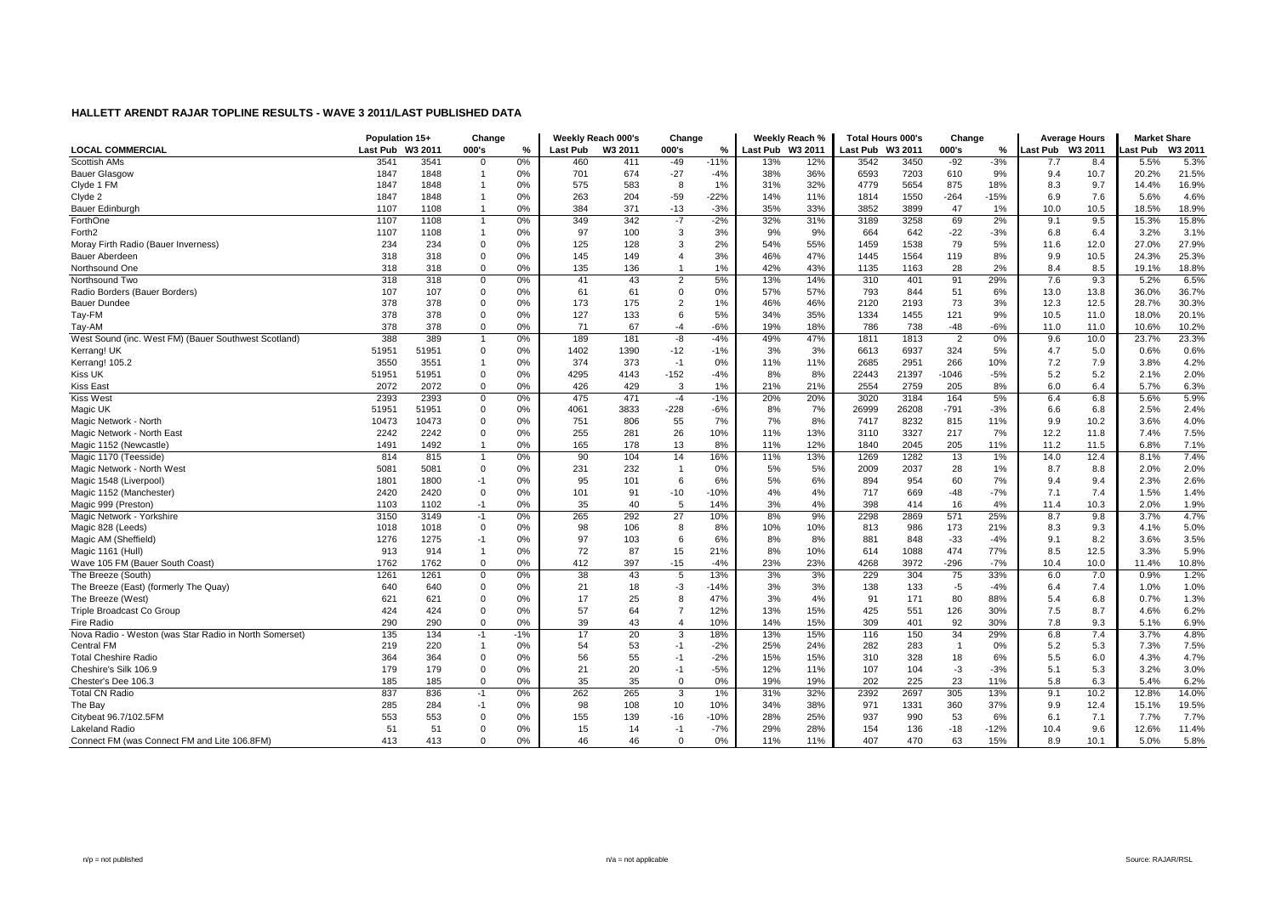|                                                        | Population 15+   |       | Change         |       |                 | Weekly Reach 000's | Change         |        |                 | Weekly Reach % | <b>Total Hours 000's</b> |       | Change         |        |                  | <b>Average Hours</b> | <b>Market Share</b> |        |
|--------------------------------------------------------|------------------|-------|----------------|-------|-----------------|--------------------|----------------|--------|-----------------|----------------|--------------------------|-------|----------------|--------|------------------|----------------------|---------------------|--------|
| <b>LOCAL COMMERCIAL</b>                                | Last Pub W3 2011 |       | 000's          | %     | <b>Last Pub</b> | W3 2011            | 000's          | %      | <b>Last Pub</b> | W3 2011        | Last Pub W3 2011         |       | 000's          | %      | Last Pub W3 2011 |                      | ast Pub.            | W3 201 |
| Scottish AMs                                           | 354'             | 3541  | $\overline{0}$ | 0%    | 460             | 411                | $-49$          | $-11%$ | 13%             | 12%            | 3542                     | 3450  | $-92$          | $-3%$  | 7.7              | 8.4                  | 5.5%                | 5.3%   |
| <b>Bauer Glasgow</b>                                   | 1847             | 1848  |                | 0%    | 701             | 674                | $-27$          | $-4%$  | 38%             | 36%            | 6593                     | 7203  | 610            | 9%     | 9.4              | 10.7                 | 20.2%               | 21.5%  |
| Clyde 1 FM                                             | 1847             | 1848  |                | 0%    | 575             | 583                | -8             | 1%     | 31%             | 32%            | 4779                     | 5654  | 875            | 18%    | 8.3              | 9.7                  | 14.4%               | 16.9%  |
| Clyde 2                                                | 1847             | 1848  |                | 0%    | 263             | 204                | $-59$          | $-22%$ | 14%             | 11%            | 1814                     | 1550  | $-264$         | $-15%$ | 6.9              | 7.6                  | 5.6%                | 4.6%   |
| Bauer Edinburgh                                        | 1107             | 1108  | $\overline{1}$ | 0%    | 384             | 371                | $-13$          | $-3%$  | 35%             | 33%            | 3852                     | 3899  | 47             | 1%     | 10.0             | 10.5                 | 18.5%               | 18.9%  |
| ForthOne                                               | 1107             | 1108  | -1             | 0%    | 349             | 342                | $-7$           | $-2%$  | 32%             | 31%            | 3189                     | 3258  | 69             | 2%     | 9.1              | 9.5                  | 15.3%               | 15.8%  |
| Forth <sub>2</sub>                                     | 1107             | 1108  | -1             | 0%    | 97              | 100                | 3              | 3%     | 9%              | 9%             | 664                      | 642   | $-22$          | $-3%$  | 6.8              | 6.4                  | 3.2%                | 3.1%   |
| Moray Firth Radio (Bauer Inverness)                    | 234              | 234   | $\Omega$       | 0%    | 125             | 128                | -3             | 2%     | 54%             | 55%            | 1459                     | 1538  | 79             | 5%     | 11.6             | 12.0                 | 27.0%               | 27.9%  |
| Bauer Aberdeen                                         | 318              | 318   | $\Omega$       | 0%    | 145             | 149                | $\overline{4}$ | 3%     | 46%             | 47%            | 1445                     | 1564  | 119            | 8%     | 9.9              | 10.5                 | 24.3%               | 25.3%  |
| Northsound One                                         | 318              | 318   | $\Omega$       | 0%    | 135             | 136                | $\overline{1}$ | 1%     | 42%             | 43%            | 1135                     | 1163  | 28             | 2%     | 8.4              | 8.5                  | 19.1%               | 18.8%  |
| Northsound Two                                         | 318              | 318   | $\overline{0}$ | 0%    | 41              | 43                 | $\overline{2}$ | 5%     | 13%             | 14%            | 310                      | 401   | 91             | 29%    | 7.6              | 9.3                  | 5.2%                | 6.5%   |
| Radio Borders (Bauer Borders)                          | 107              | 107   | $\overline{0}$ | 0%    | 61              | 61                 | $\mathbf 0$    | 0%     | 57%             | 57%            | 793                      | 844   | 51             | 6%     | 13.0             | 13.8                 | 36.0%               | 36.7%  |
| <b>Bauer Dundee</b>                                    | 378              | 378   | $\Omega$       | 0%    | 173             | 175                | $\overline{2}$ | 1%     | 46%             | 46%            | 2120                     | 2193  | 73             | 3%     | 12.3             | 12.5                 | 28.7%               | 30.3%  |
| Tay-FM                                                 | 378              | 378   | $\mathbf 0$    | 0%    | 127             | 133                | 6              | 5%     | 34%             | 35%            | 1334                     | 1455  | 121            | 9%     | 10.5             | 11.0                 | 18.0%               | 20.1%  |
| Tay-AM                                                 | 378              | 378   | $\mathbf 0$    | 0%    | 71              | 67                 | $-4$           | $-6%$  | 19%             | 18%            | 786                      | 738   | $-48$          | -6%    | 11.0             | 11.0                 | 10.6%               | 10.2%  |
| West Sound (inc. West FM) (Bauer Southwest Scotland)   | 388              | 389   |                | 0%    | 189             | 181                | -8             | $-4%$  | 49%             | 47%            | 1811                     | 1813  | $\overline{2}$ | 0%     | 9.6              | 10.0                 | 23.7%               | 23.3%  |
| Kerrang! UK                                            | 51951            | 51951 | $\Omega$       | 0%    | 1402            | 1390               | $-12$          | $-1%$  | 3%              | 3%             | 6613                     | 6937  | 324            | 5%     | 4.7              | 5.0                  | 0.6%                | 0.6%   |
| Kerrang! 105.2                                         | 3550             | 3551  | -1             | 0%    | 374             | 373                | $-1$           | 0%     | 11%             | 11%            | 2685                     | 2951  | 266            | 10%    | 7.2              | 7.9                  | 3.8%                | 4.2%   |
| <b>Kiss UK</b>                                         | 51951            | 51951 | $\mathbf 0$    | 0%    | 4295            | 4143               | $-152$         | $-4%$  | 8%              | 8%             | 22443                    | 21397 | $-1046$        | $-5%$  | 5.2              | 5.2                  | 2.1%                | 2.0%   |
| <b>Kiss East</b>                                       | 2072             | 2072  | $\Omega$       | 0%    | 426             | 429                | $\overline{3}$ | 1%     | 21%             | 21%            | 2554                     | 2759  | 205            | 8%     | 6.0              | 6.4                  | 5.7%                | 6.3%   |
| <b>Kiss West</b>                                       | 2393             | 2393  | $\Omega$       | 0%    | 475             | 471                | $-4$           | $-1%$  | 20%             | 20%            | 3020                     | 3184  | 164            | 5%     | 6.4              | 6.8                  | 5.6%                | 5.9%   |
| Magic UK                                               | 51951            | 51951 | $\mathbf 0$    | 0%    | 4061            | 3833               | $-228$         | $-6%$  | 8%              | 7%             | 26999                    | 26208 | $-791$         | $-3%$  | 6.6              | 6.8                  | 2.5%                | 2.4%   |
| Magic Network - North                                  | 10473            | 10473 | $\Omega$       | 0%    | 751             | 806                | 55             | 7%     | 7%              | 8%             | 7417                     | 8232  | 815            | 11%    | 9.9              | 10.2                 | 3.6%                | 4.0%   |
| Magic Network - North East                             | 2242             | 2242  | $\mathbf 0$    | 0%    | 255             | 281                | 26             | 10%    | 11%             | 13%            | 3110                     | 3327  | 217            | 7%     | 12.2             | 11.8                 | 7.4%                | 7.5%   |
| Magic 1152 (Newcastle)                                 | 1491             | 1492  | $\overline{1}$ | 0%    | 165             | 178                | 13             | 8%     | 11%             | 12%            | 1840                     | 2045  | 205            | 11%    | 11.2             | 11.5                 | 6.8%                | 7.1%   |
| Magic 1170 (Teesside)                                  | 814              | 815   | -1             | 0%    | 90              | 104                | 14             | 16%    | 11%             | 13%            | 1269                     | 1282  | 13             | 1%     | 14.0             | 12.4                 | 8.1%                | 7.4%   |
| Magic Network - North West                             | 5081             | 5081  | $\Omega$       | 0%    | 231             | 232                | $\overline{1}$ | 0%     | 5%              | 5%             | 2009                     | 2037  | 28             | 1%     | 8.7              | 8.8                  | 2.0%                | 2.0%   |
| Magic 1548 (Liverpool)                                 | 1801             | 1800  | $-1$           | 0%    | 95              | 101                | 6              | 6%     | 5%              | 6%             | 894                      | 954   | 60             | 7%     | 9.4              | 9.4                  | 2.3%                | 2.6%   |
| Magic 1152 (Manchester)                                | 2420             | 2420  | $\Omega$       | 0%    | 101             | 91                 | $-10$          | $-10%$ | 4%              | 4%             | 717                      | 669   | $-48$          | $-7%$  | 7.1              | 7.4                  | 1.5%                | 1.4%   |
| Magic 999 (Preston)                                    | 1103             | 1102  | $-1$           | 0%    | 35              | 40                 | 5              | 14%    | 3%              | 4%             | 398                      | 414   | 16             | 4%     | 11.4             | 10.3                 | 2.0%                | 1.9%   |
| Magic Network - Yorkshire                              | 3150             | 3149  | $-1$           | 0%    | 265             | 292                | 27             | 10%    | 8%              | 9%             | 2298                     | 2869  | 571            | 25%    | 8.7              | 9.8                  | 3.7%                | 4.7%   |
| Magic 828 (Leeds)                                      | 1018             | 1018  | $\Omega$       | 0%    | 98              | 106                | 8              | 8%     | 10%             | 10%            | 813                      | 986   | 173            | 21%    | 8.3              | 9.3                  | 4.1%                | 5.0%   |
| Magic AM (Sheffield)                                   | 1276             | 1275  | $-1$           | 0%    | 97              | 103                | 6              | 6%     | 8%              | 8%             | 881                      | 848   | $-33$          | $-4%$  | 9.1              | 8.2                  | 3.6%                | 3.5%   |
| Magic 1161 (Hull)                                      | 913              | 914   | $\overline{1}$ | 0%    | 72              | 87                 | 15             | 21%    | 8%              | 10%            | 614                      | 1088  | 474            | 77%    | 8.5              | 12.5                 | 3.3%                | 5.9%   |
| Wave 105 FM (Bauer South Coast)                        | 1762             | 1762  | $\mathbf 0$    | 0%    | 412             | 397                | $-15$          | $-4%$  | 23%             | 23%            | 4268                     | 3972  | $-296$         | $-7%$  | 10.4             | 10.0                 | 11.4%               | 10.8%  |
| The Breeze (South)                                     | 1261             | 1261  | $\mathbf 0$    | 0%    | 38              | 43                 | 5              | 13%    | 3%              | 3%             | 229                      | 304   | 75             | 33%    | 6.0              | 7.0                  | 0.9%                | 1.2%   |
| The Breeze (East) (formerly The Quay)                  | 640              | 640   | $\Omega$       | 0%    | 21              | 18                 | $-3$           | $-14%$ | 3%              | 3%             | 138                      | 133   | -5             | $-4%$  | 6.4              | 7.4                  | 1.0%                | 1.0%   |
| The Breeze (West)                                      | 621              | 621   | $\Omega$       | 0%    | 17              | 25                 | 8              | 47%    | 3%              | 4%             | 91                       | 171   | 80             | 88%    | 5.4              | 6.8                  | 0.7%                | 1.3%   |
| Triple Broadcast Co Group                              | 424              | 424   | $\Omega$       | 0%    | 57              | 64                 | -7             | 12%    | 13%             | 15%            | 425                      | 551   | 126            | 30%    | 7.5              | 8.7                  | 4.6%                | 6.2%   |
| Fire Radio                                             | 290              | 290   | $\Omega$       | 0%    | 39              | 43                 | $\overline{4}$ | 10%    | 14%             | 15%            | 309                      | 401   | 92             | 30%    | 7.8              | 9.3                  | 5.1%                | 6.9%   |
| Nova Radio - Weston (was Star Radio in North Somerset) | 135              | 134   | $-1$           | $-1%$ | 17              | 20                 | 3              | 18%    | 13%             | 15%            | 116                      | 150   | 34             | 29%    | 6.8              | 7.4                  | 3.7%                | 4.8%   |
| <b>Central FM</b>                                      | 219              | 220   | $\overline{1}$ | 0%    | 54              | 53                 | $-1$           | $-2%$  | 25%             | 24%            | 282                      | 283   | $\overline{1}$ | 0%     | 5.2              | 5.3                  | 7.3%                | 7.5%   |
| <b>Total Cheshire Radio</b>                            | 364              | 364   | $\Omega$       | 0%    | 56              | 55                 | $-1$           | $-2%$  | 15%             | 15%            | 310                      | 328   | 18             | 6%     | 5.5              | 6.0                  | 4.3%                | 4.7%   |
| Cheshire's Silk 106.9                                  | 179              | 179   | $\overline{0}$ | 0%    | 21              | 20                 | $-1$           | $-5%$  | 12%             | 11%            | 107                      | 104   | -3             | $-3%$  | 5.1              | 5.3                  | 3.2%                | 3.0%   |
| Chester's Dee 106.3                                    | 185              | 185   | $\Omega$       | 0%    | 35              | 35                 | $\mathbf{0}$   | 0%     | 19%             | 19%            | 202                      | 225   | 23             | 11%    | 5.8              | 6.3                  | 5.4%                | 6.2%   |
| <b>Total CN Radio</b>                                  | 837              | 836   | $-1$           | 0%    | 262             | 265                | 3              | 1%     | 31%             | 32%            | 2392                     | 2697  | 305            | 13%    | 9.1              | 10.2                 | 12.8%               | 14.0%  |
| The Bay                                                | 285              | 284   | $-1$           | 0%    | 98              | 108                | 10             | 10%    | 34%             | 38%            | 971                      | 1331  | 360            | 37%    | 9.9              | 12.4                 | 15.1%               | 19.5%  |
| Citybeat 96.7/102.5FM                                  | 553              | 553   | $\Omega$       | 0%    | 155             | 139                | $-16$          | $-10%$ | 28%             | 25%            | 937                      | 990   | 53             | 6%     | 6.1              | 7.1                  | 7.7%                | 7.7%   |
| Lakeland Radio                                         | 51               | 51    | $\Omega$       | 0%    | 15              | 14                 | $-1$           | $-7%$  | 29%             | 28%            | 154                      | 136   | $-18$          | $-12%$ | 10.4             | 9.6                  | 12.6%               | 11.4%  |
| Connect FM (was Connect FM and Lite 106.8FM)           | 413              | 413   | $\Omega$       | 0%    | 46              | 46                 | $\mathbf{0}$   | 0%     | 11%             | 11%            | 407                      | 470   | 63             | 15%    | 8.9              | 10.1                 | 5.0%                | 5.8%   |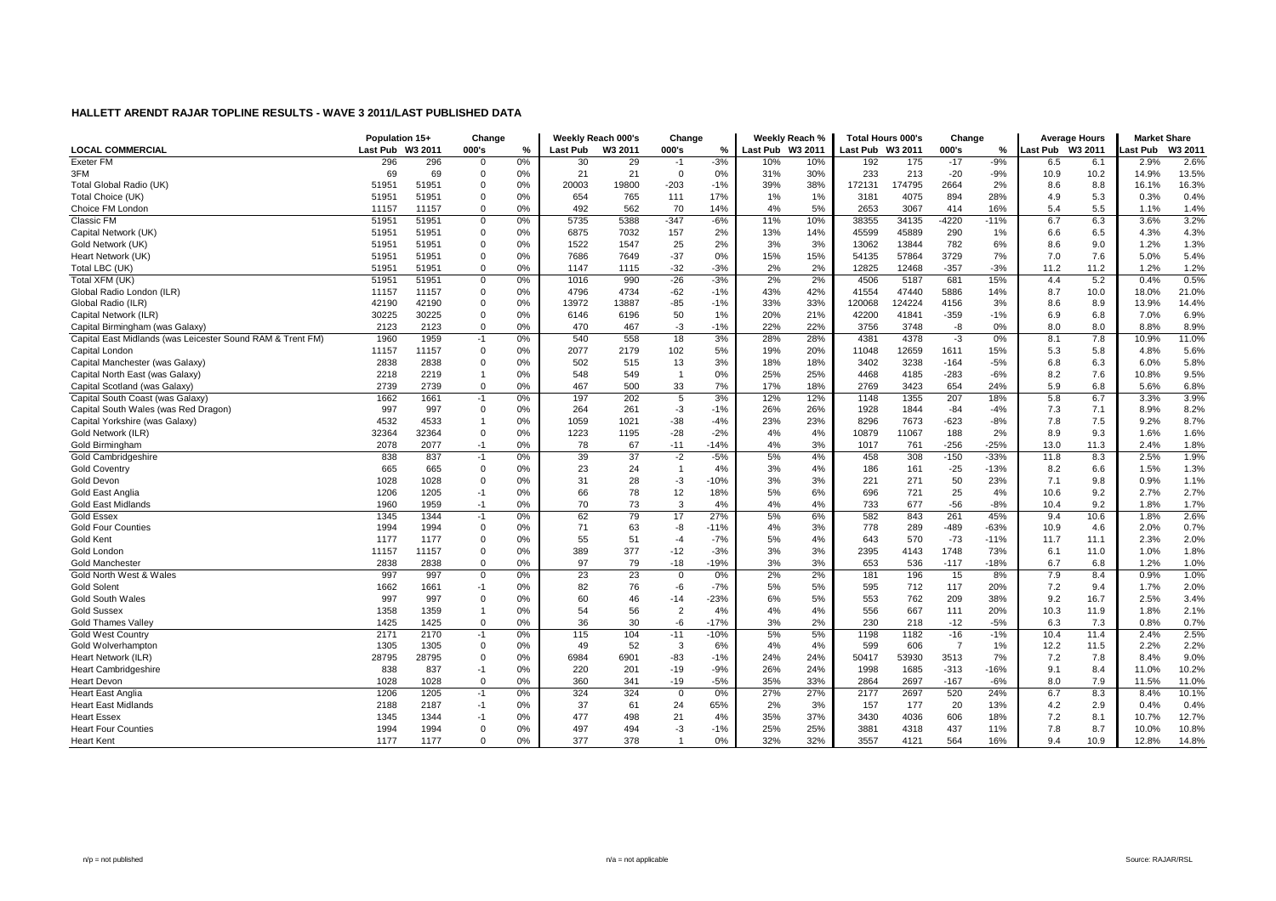|                                                            | Population 15+ |        | Change         |    |                 | Weekly Reach 000's | Change         |               |          | Weekly Reach % |                  | <b>Total Hours 000's</b> | Change         |        |                  | <b>Average Hours</b> | <b>Market Share</b> |        |
|------------------------------------------------------------|----------------|--------|----------------|----|-----------------|--------------------|----------------|---------------|----------|----------------|------------------|--------------------------|----------------|--------|------------------|----------------------|---------------------|--------|
| <b>LOCAL COMMERCIAL</b>                                    | Last Pub       | W3 201 | 000's          | %  | <b>Last Pub</b> | W3 2011            | 000's          | $\frac{9}{9}$ | Last Pub | W3 2011        | Last Pub W3 2011 |                          | 000's          | %      | Last Pub W3 2011 |                      | ast Pub             | W3 201 |
| <b>Exeter FM</b>                                           | 296            | 296    | 0              | 0% | 30              | 29                 | $-1$           | $-3%$         | 10%      | 10%            | 192              | 175                      | $-17$          | $-9%$  | 6.5              | 6.1                  | 2.9%                | 2.6%   |
| 3FM                                                        | 69             | 69     | $\Omega$       | 0% | 21              | 21                 | $\mathbf{0}$   | 0%            | 31%      | 30%            | 233              | 213                      | $-20$          | $-9%$  | 10.9             | 10.2                 | 14.9%               | 13.5%  |
| Total Global Radio (UK)                                    | 51951          | 51951  | 0              | 0% | 20003           | 19800              | $-203$         | $-1%$         | 39%      | 38%            | 172131           | 174795                   | 2664           | 2%     | 8.6              | 8.8                  | 16.1%               | 16.3%  |
| Total Choice (UK)                                          | 51951          | 51951  | $\Omega$       | 0% | 654             | 765                | 111            | 17%           | $1\%$    | 1%             | 3181             | 4075                     | 894            | 28%    | 4.9              | 5.3                  | 0.3%                | 0.4%   |
| Choice FM London                                           | 11157          | 11157  | $\Omega$       | 0% | 492             | 562                | 70             | 14%           | 4%       | 5%             | 2653             | 3067                     | 414            | 16%    | 5.4              | 5.5                  | 1.1%                | 1.4%   |
| Classic FM                                                 | 51951          | 51951  | $\mathbf 0$    | 0% | 5735            | 5388               | $-347$         | $-6%$         | 11%      | 10%            | 38355            | 34135                    | $-4220$        | $-11%$ | 6.7              | 6.3                  | 3.6%                | 3.2%   |
| Capital Network (UK)                                       | 51951          | 51951  | $\Omega$       | 0% | 6875            | 7032               | 157            | 2%            | 13%      | 14%            | 45599            | 45889                    | 290            | 1%     | 6.6              | 6.5                  | 4.3%                | 4.3%   |
| Gold Network (UK)                                          | 51951          | 51951  | 0              | 0% | 1522            | 1547               | 25             | 2%            | 3%       | 3%             | 13062            | 13844                    | 782            | 6%     | 8.6              | 9.0                  | 1.2%                | 1.3%   |
| Heart Network (UK)                                         | 51951          | 51951  | 0              | 0% | 7686            | 7649               | $-37$          | 0%            | 15%      | 15%            | 54135            | 57864                    | 3729           | 7%     | 7.0              | 7.6                  | 5.0%                | 5.4%   |
| Total LBC (UK)                                             | 51951          | 51951  | $\Omega$       | 0% | 1147            | 1115               | $-32$          | $-3%$         | 2%       | 2%             | 12825            | 12468                    | $-357$         | $-3%$  | 11.2             | 11.2                 | 1.2%                | 1.2%   |
| Total XFM (UK)                                             | 51951          | 51951  | $\Omega$       | 0% | 1016            | 990                | $-26$          | $-3%$         | 2%       | 2%             | 4506             | 5187                     | 681            | 15%    | 4.4              | 5.2                  | 0.4%                | 0.5%   |
| Global Radio London (ILR)                                  | 11157          | 11157  | $\Omega$       | 0% | 4796            | 4734               | $-62$          | $-1%$         | 43%      | 42%            | 41554            | 47440                    | 5886           | 14%    | 8.7              | 10.0                 | 18.0%               | 21.0%  |
| Global Radio (ILR)                                         | 42190          | 42190  | $\Omega$       | 0% | 13972           | 13887              | $-85$          | $-1%$         | 33%      | 33%            | 120068           | 124224                   | 4156           | 3%     | 8.6              | 8.9                  | 13.9%               | 14.4%  |
| Capital Network (ILR)                                      | 30225          | 30225  | $\Omega$       | 0% | 6146            | 6196               | 50             | 1%            | 20%      | 21%            | 42200            | 41841                    | $-359$         | $-1%$  | 6.9              | 6.8                  | 7.0%                | 6.9%   |
| Capital Birmingham (was Galaxy)                            | 2123           | 2123   | $\Omega$       | 0% | 470             | 467                | $-3$           | $-1%$         | 22%      | 22%            | 3756             | 3748                     | -8             | 0%     | 8.0              | 8.0                  | 8.8%                | 8.9%   |
| Capital East Midlands (was Leicester Sound RAM & Trent FM) | 1960           | 1959   | $-1$           | 0% | 540             | 558                | 18             | 3%            | 28%      | 28%            | 4381             | 4378                     | $-3$           | 0%     | 8.1              | 7.8                  | 10.9%               | 11.0%  |
| Capital London                                             | 11157          | 11157  | $\Omega$       | 0% | 2077            | 2179               | 102            | 5%            | 19%      | 20%            | 11048            | 12659                    | 1611           | 15%    | 5.3              | 5.8                  | 4.8%                | 5.6%   |
| Capital Manchester (was Galaxy)                            | 2838           | 2838   | $\Omega$       | 0% | 502             | 515                | 13             | 3%            | 18%      | 18%            | 3402             | 3238                     | $-164$         | $-5%$  | 6.8              | 6.3                  | 6.0%                | 5.8%   |
| Capital North East (was Galaxy)                            | 2218           | 2219   | $\overline{1}$ | 0% | 548             | 549                | $\overline{1}$ | 0%            | 25%      | 25%            | 4468             | 4185                     | $-283$         | $-6%$  | 8.2              | 7.6                  | 10.8%               | 9.5%   |
| Capital Scotland (was Galaxy)                              | 2739           | 2739   | $\Omega$       | 0% | 467             | 500                | 33             | 7%            | 17%      | 18%            | 2769             | 3423                     | 654            | 24%    | 5.9              | 6.8                  | 5.6%                | 6.8%   |
| Capital South Coast (was Galaxy                            | 1662           | 1661   | $-1$           | 0% | 197             | 202                | 5              | 3%            | 12%      | 12%            | 1148             | 1355                     | 207            | 18%    | 5.8              | 6.7                  | 3.3%                | 3.9%   |
| Capital South Wales (was Red Dragon)                       | 997            | 997    | $\Omega$       | 0% | 264             | 261                | $-3$           | $-1%$         | 26%      | 26%            | 1928             | 1844                     | $-84$          | $-4%$  | 7.3              | 7.1                  | 8.9%                | 8.2%   |
| Capital Yorkshire (was Galaxy)                             | 4532           | 4533   |                | 0% | 1059            | 1021               | $-38$          | $-4%$         | 23%      | 23%            | 8296             | 7673                     | $-623$         | $-8%$  | 7.8              | 7.5                  | 9.2%                | 8.7%   |
| Gold Network (ILR)                                         | 32364          | 32364  | $\Omega$       | 0% | 1223            | 1195               | $-28$          | $-2%$         | 4%       | 4%             | 10879            | 11067                    | 188            | 2%     | 8.9              | 9.3                  | 1.6%                | 1.6%   |
| Gold Birmingham                                            | 2078           | 2077   | $-1$           | 0% | 78              | 67                 | $-11$          | $-14%$        | 4%       | 3%             | 1017             | 761                      | $-256$         | $-25%$ | 13.0             | 11.3                 | 2.4%                | 1.8%   |
| Gold Cambridgeshire                                        | 838            | 837    | $-1$           | 0% | 39              | 37                 | $-2$           | $-5%$         | 5%       | 4%             | 458              | 308                      | $-150$         | $-33%$ | 11.8             | 8.3                  | 2.5%                | 1.9%   |
| <b>Gold Coventry</b>                                       | 665            | 665    | $\Omega$       | 0% | 23              | 24                 | $\overline{1}$ | 4%            | 3%       | 4%             | 186              | 161                      | $-25$          | $-13%$ | 8.2              | 6.6                  | 1.5%                | 1.3%   |
| <b>Gold Devon</b>                                          | 1028           | 1028   | $\Omega$       | 0% | 31              | 28                 | $-3$           | $-10%$        | 3%       | 3%             | 221              | 271                      | 50             | 23%    | 7.1              | 9.8                  | 0.9%                | 1.1%   |
| Gold East Anglia                                           | 1206           | 1205   | $-1$           | 0% | 66              | 78                 | 12             | 18%           | 5%       | 6%             | 696              | 721                      | 25             | 4%     | 10.6             | 9.2                  | 2.7%                | 2.7%   |
| <b>Gold East Midlands</b>                                  | 1960           | 1959   | $-1$           | 0% | 70              | 73                 | 3              | 4%            | 4%       | 4%             | 733              | 677                      | $-56$          | $-8%$  | 10.4             | 9.2                  | 1.8%                | 1.7%   |
| <b>Gold Essex</b>                                          | 1345           | 1344   | $-1$           | 0% | 62              | 79                 | 17             | 27%           | 5%       | 6%             | 582              | 843                      | 261            | 45%    | 9.4              | 10.6                 | 1.8%                | 2.6%   |
| <b>Gold Four Counties</b>                                  | 1994           | 1994   | $\mathbf 0$    | 0% | 71              | 63                 | -8             | $-11%$        | 4%       | 3%             | 778              | 289                      | $-489$         | $-63%$ | 10.9             | 4.6                  | 2.0%                | 0.7%   |
| Gold Kent                                                  | 1177           | 1177   | $\Omega$       | 0% | 55              | 51                 | $-4$           | $-7%$         | 5%       | 4%             | 643              | 570                      | $-73$          | $-11%$ | 11.7             | 11.1                 | 2.3%                | 2.0%   |
| Gold London                                                | 11157          | 11157  | $\mathbf 0$    | 0% | 389             | 377                | $-12$          | $-3%$         | 3%       | 3%             | 2395             | 4143                     | 1748           | 73%    | 6.1              | 11.0                 | 1.0%                | 1.8%   |
| <b>Gold Manchester</b>                                     | 2838           | 2838   | $\Omega$       | 0% | 97              | 79                 | -18            | $-19%$        | 3%       | 3%             | 653              | 536                      | $-117$         | $-18%$ | 6.7              | 6.8                  | 1.2%                | 1.0%   |
| Gold North West & Wales                                    | 997            | 997    | $\Omega$       | 0% | 23              | 23                 | $\mathbf 0$    | 0%            | 2%       | 2%             | 181              | 196                      | 15             | 8%     | 7.9              | 8.4                  | 0.9%                | 1.0%   |
| <b>Gold Solent</b>                                         | 1662           | 1661   | $-1$           | 0% | 82              | 76                 | -6             | $-7%$         | 5%       | 5%             | 595              | 712                      | 117            | 20%    | 7.2              | 9.4                  | 1.7%                | 2.0%   |
| <b>Gold South Wales</b>                                    | 997            | 997    | $\Omega$       | 0% | 60              | 46                 | $-14$          | $-23%$        | 6%       | 5%             | 553              | 762                      | 209            | 38%    | 9.2              | 16.7                 | 2.5%                | 3.4%   |
| <b>Gold Sussex</b>                                         | 1358           | 1359   |                | 0% | 54              | 56                 | $\overline{2}$ | 4%            | 4%       | 4%             | 556              | 667                      | 111            | 20%    | 10.3             | 11.9                 | 1.8%                | 2.1%   |
| <b>Gold Thames Valley</b>                                  | 1425           | 1425   | $\Omega$       | 0% | 36              | 30                 | -6             | $-17%$        | 3%       | 2%             | 230              | 218                      | $-12$          | $-5%$  | 6.3              | 7.3                  | 0.8%                | 0.7%   |
| <b>Gold West Country</b>                                   | 2171           | 2170   | $-1$           | 0% | 115             | 104                | $-11$          | $-10%$        | 5%       | 5%             | 1198             | 1182                     | $-16$          | $-1%$  | 10.4             | 11.4                 | 2.4%                | 2.5%   |
| Gold Wolverhampton                                         | 1305           | 1305   | $\Omega$       | 0% | 49              | 52                 | 3              | 6%            | 4%       | 4%             | 599              | 606                      | $\overline{7}$ | 1%     | 12.2             | 11.5                 | 2.2%                | 2.2%   |
| Heart Network (ILR)                                        | 28795          | 28795  | $\Omega$       | 0% | 6984            | 6901               | $-83$          | $-1%$         | 24%      | 24%            | 50417            | 53930                    | 3513           | 7%     | 7.2              | 7.8                  | 8.4%                | 9.0%   |
| <b>Heart Cambridgeshire</b>                                | 838            | 837    | $-1$           | 0% | 220             | 201                | $-19$          | $-9%$         | 26%      | 24%            | 1998             | 1685                     | $-313$         | -16%   | 9.1              | 8.4                  | 11.0%               | 10.2%  |
| Heart Devon                                                | 1028           | 1028   | $\Omega$       | 0% | 360             | 341                | $-19$          | $-5%$         | 35%      | 33%            | 2864             | 2697                     | $-167$         | $-6%$  | 8.0              | 7.9                  | 11.5%               | 11.0%  |
| <b>Heart East Anglia</b>                                   | 1206           | 1205   | $-1$           | 0% | 324             | 324                | $\mathbf 0$    | 0%            | 27%      | 27%            | 2177             | 2697                     | 520            | 24%    | 6.7              | 8.3                  | 8.4%                | 10.1%  |
| <b>Heart East Midlands</b>                                 | 2188           | 2187   | $-1$           | 0% | 37              | 61                 | 24             | 65%           | 2%       | 3%             | 157              | 177                      | 20             | 13%    | 4.2              | 2.9                  | 0.4%                | 0.4%   |
| Heart Essex                                                | 1345           | 1344   | $-1$           | 0% | 477             | 498                | 21             | 4%            | 35%      | 37%            | 3430             | 4036                     | 606            | 18%    | 7.2              | 8.1                  | 10.7%               | 12.7%  |
| <b>Heart Four Counties</b>                                 | 1994           | 1994   | $\Omega$       | 0% | 497             | 494                | -3             | $-1%$         | 25%      | 25%            | 3881             | 4318                     | 437            | 11%    | 7.8              | 8.7                  | 10.0%               | 10.8%  |
| <b>Heart Kent</b>                                          | 1177           | 1177   | $\Omega$       | 0% | 377             | 378                | $\mathbf{1}$   | 0%            | 32%      | 32%            | 3557             | 4121                     | 564            | 16%    | 9.4              | 10.9                 | 12.8%               | 14.8%  |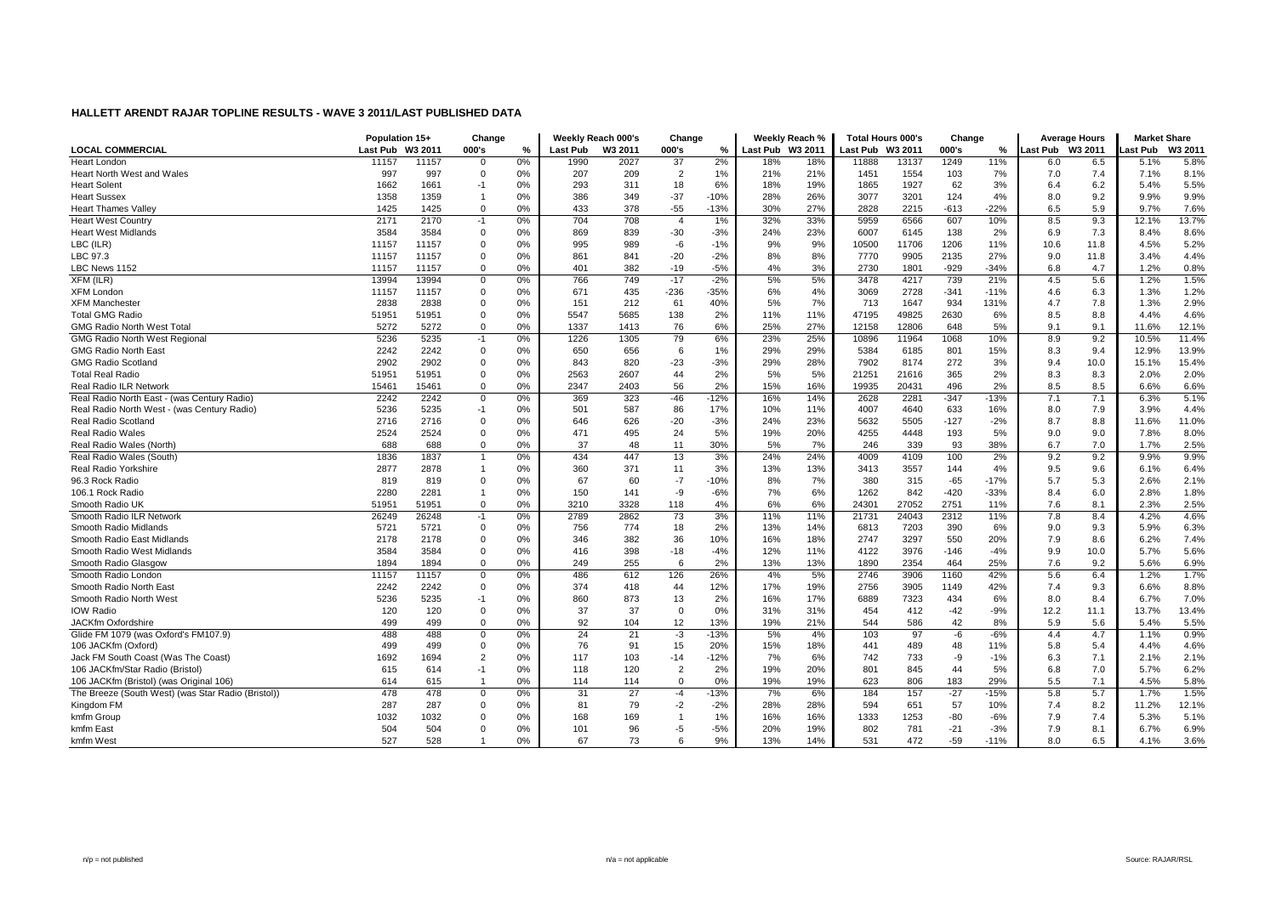|                                                    | Population 15+ |         | Change         |      |                 | Weekly Reach 000's | Change         |        |                  | Weekly Reach % | <b>Total Hours 000's</b> |       | Change |        | <b>Average Hours</b> |      | <b>Market Share</b> |         |
|----------------------------------------------------|----------------|---------|----------------|------|-----------------|--------------------|----------------|--------|------------------|----------------|--------------------------|-------|--------|--------|----------------------|------|---------------------|---------|
| <b>LOCAL COMMERCIAL</b>                            | Last Pub       | W3 2011 | 000's          | $\%$ | <b>Last Pub</b> | W3 2011            | 000's          | %      | Last Pub W3 2011 |                | Last Pub W3 2011         |       | 000's  | %      | Last Pub W3 2011     |      | Last Pub            | W3 2011 |
| <b>Heart London</b>                                | 11157          | 11157   | $\overline{0}$ | 0%   | 1990            | 2027               | 37             | 2%     | 18%              | 18%            | 11888                    | 13137 | 1249   | 11%    | 6.0                  | 6.5  | 5.1%                | 5.8%    |
| Heart North West and Wales                         | 997            | 997     | $\Omega$       | 0%   | 207             | 209                | $\overline{2}$ | 1%     | 21%              | 21%            | 1451                     | 1554  | 103    | 7%     | 7.0                  | 7.4  | 7.1%                | 8.1%    |
| Heart Solent                                       | 1662           | 1661    | $-1$           | 0%   | 293             | 311                | 18             | 6%     | 18%              | 19%            | 1865                     | 1927  | 62     | 3%     | 6.4                  | 6.2  | 5.4%                | 5.5%    |
| <b>Heart Sussex</b>                                | 1358           | 1359    | $\overline{1}$ | 0%   | 386             | 349                | $-37$          | $-10%$ | 28%              | 26%            | 3077                     | 3201  | 124    | 4%     | 8.0                  | 9.2  | 9.9%                | 9.9%    |
| <b>Heart Thames Valley</b>                         | 1425           | 1425    | $\overline{0}$ | 0%   | 433             | 378                | $-55$          | $-13%$ | 30%              | 27%            | 2828                     | 2215  | $-613$ | $-22%$ | 6.5                  | 5.9  | 9.7%                | 7.6%    |
| <b>Heart West Country</b>                          | 2171           | 2170    | $-1$           | 0%   | 704             | 708                | $\overline{4}$ | 1%     | 32%              | 33%            | 5959                     | 6566  | 607    | 10%    | 8.5                  | 9.3  | 12.1%               | 13.7%   |
| <b>Heart West Midlands</b>                         | 3584           | 3584    | $\Omega$       | 0%   | 869             | 839                | $-30$          | $-3%$  | 24%              | 23%            | 6007                     | 6145  | 138    | 2%     | 6.9                  | 7.3  | 8.4%                | 8.6%    |
| LBC (ILR)                                          | 11157          | 11157   | $\Omega$       | 0%   | 995             | 989                | -6             | $-1%$  | 9%               | 9%             | 10500                    | 11706 | 1206   | 11%    | 10.6                 | 11.8 | 4.5%                | 5.2%    |
| LBC 97.3                                           | 11157          | 11157   | $\Omega$       | 0%   | 861             | 841                | $-20$          | $-2%$  | 8%               | 8%             | 7770                     | 9905  | 2135   | 27%    | 9.0                  | 11.8 | 3.4%                | 4.4%    |
| LBC News 1152                                      | 11157          | 11157   | $\overline{0}$ | 0%   | 401             | 382                | $-19$          | $-5%$  | 4%               | 3%             | 2730                     | 1801  | $-929$ | $-34%$ | 6.8                  | 4.7  | 1.2%                | 0.8%    |
| XFM (ILR)                                          | 13994          | 13994   | $\overline{0}$ | 0%   | 766             | 749                | $-17$          | $-2%$  | 5%               | 5%             | 3478                     | 4217  | 739    | 21%    | 4.5                  | 5.6  | 1.2%                | 1.5%    |
| <b>XFM London</b>                                  | 11157          | 11157   | $\overline{0}$ | 0%   | 671             | 435                | $-236$         | $-35%$ | 6%               | 4%             | 3069                     | 2728  | $-341$ | $-11%$ | 4.6                  | 6.3  | 1.3%                | 1.2%    |
| <b>XFM Manchester</b>                              | 2838           | 2838    | $\overline{0}$ | 0%   | 151             | 212                | 61             | 40%    | 5%               | 7%             | 713                      | 1647  | 934    | 131%   | 4.7                  | 7.8  | 1.3%                | 2.9%    |
| <b>Total GMG Radio</b>                             | 51951          | 51951   | $\overline{0}$ | 0%   | 5547            | 5685               | 138            | 2%     | 11%              | 11%            | 47195                    | 49825 | 2630   | 6%     | 8.5                  | 8.8  | 4.4%                | 4.6%    |
| <b>GMG Radio North West Total</b>                  | 5272           | 5272    | $\overline{0}$ | 0%   | 1337            | 1413               | 76             | 6%     | 25%              | 27%            | 12158                    | 12806 | 648    | 5%     | 9.1                  | 9.1  | 11.6%               | 12.1%   |
| <b>GMG Radio North West Regional</b>               | 5236           | 5235    | $-1$           | 0%   | 1226            | 1305               | 79             | 6%     | 23%              | 25%            | 10896                    | 11964 | 1068   | 10%    | 8.9                  | 9.2  | 10.5%               | 11.4%   |
| <b>GMG Radio North East</b>                        | 2242           | 2242    | $\overline{0}$ | 0%   | 650             | 656                | 6              | 1%     | 29%              | 29%            | 5384                     | 6185  | 801    | 15%    | 8.3                  | 9.4  | 12.9%               | 13.9%   |
| <b>GMG Radio Scotland</b>                          | 2902           | 2902    | $\Omega$       | 0%   | 843             | 820                | $-23$          | $-3%$  | 29%              | 28%            | 7902                     | 8174  | 272    | 3%     | 9.4                  | 10.0 | 15.1%               | 15.4%   |
| <b>Total Real Radio</b>                            | 51951          | 51951   | $\overline{0}$ | 0%   | 2563            | 2607               | 44             | 2%     | 5%               | 5%             | 21251                    | 21616 | 365    | 2%     | 8.3                  | 8.3  | 2.0%                | 2.0%    |
| Real Radio ILR Network                             | 15461          | 15461   | $\overline{0}$ | 0%   | 2347            | 2403               | 56             | 2%     | 15%              | 16%            | 19935                    | 20431 | 496    | 2%     | 8.5                  | 8.5  | 6.6%                | 6.6%    |
| Real Radio North East - (was Century Radio)        | 2242           | 2242    | $\Omega$       | 0%   | 369             | 323                | $-46$          | $-12%$ | 16%              | 14%            | 2628                     | 2281  | $-347$ | $-13%$ | 7.1                  | 7.1  | 6.3%                | 5.1%    |
| Real Radio North West - (was Century Radio)        | 5236           | 5235    | $-1$           | 0%   | 501             | 587                | 86             | 17%    | 10%              | 11%            | 4007                     | 4640  | 633    | 16%    | 8.0                  | 7.9  | 3.9%                | 4.4%    |
| Real Radio Scotland                                | 2716           | 2716    | $\overline{0}$ | 0%   | 646             | 626                | $-20$          | $-3%$  | 24%              | 23%            | 5632                     | 5505  | $-127$ | $-2%$  | 8.7                  | 8.8  | 11.6%               | 11.0%   |
| Real Radio Wales                                   | 2524           | 2524    | $\overline{0}$ | 0%   | 471             | 495                | 24             | 5%     | 19%              | 20%            | 4255                     | 4448  | 193    | 5%     | 9.0                  | 9.0  | 7.8%                | 8.0%    |
| Real Radio Wales (North)                           | 688            | 688     | $\overline{0}$ | 0%   | 37              | 48                 | 11             | 30%    | 5%               | 7%             | 246                      | 339   | 93     | 38%    | 6.7                  | 7.0  | 1.7%                | 2.5%    |
| Real Radio Wales (South)                           | 1836           | 1837    | -1             | 0%   | 434             | 447                | 13             | 3%     | 24%              | 24%            | 4009                     | 4109  | 100    | 2%     | 9.2                  | 9.2  | 9.9%                | 9.9%    |
| Real Radio Yorkshire                               | 2877           | 2878    | $\overline{1}$ | 0%   | 360             | 371                | 11             | 3%     | 13%              | 13%            | 3413                     | 3557  | 144    | 4%     | 9.5                  | 9.6  | 6.1%                | 6.4%    |
| 96.3 Rock Radio                                    | 819            | 819     | $\Omega$       | 0%   | 67              | 60                 | $-7$           | $-10%$ | 8%               | 7%             | 380                      | 315   | -65    | $-17%$ | 5.7                  | 5.3  | 2.6%                | 2.1%    |
| 106.1 Rock Radio                                   | 2280           | 2281    | $\overline{1}$ | 0%   | 150             | 141                | -9             | $-6%$  | 7%               | 6%             | 1262                     | 842   | $-420$ | $-33%$ | 8.4                  | 6.0  | 2.8%                | 1.8%    |
| Smooth Radio UK                                    | 51951          | 51951   | $\overline{0}$ | 0%   | 3210            | 3328               | 118            | 4%     | 6%               | 6%             | 24301                    | 27052 | 2751   | 11%    | 7.6                  | 8.1  | 2.3%                | 2.5%    |
| Smooth Radio ILR Network                           | 26249          | 26248   | $-1$           | 0%   | 2789            | 2862               | 73             | 3%     | 11%              | 11%            | 21731                    | 24043 | 2312   | 11%    | 7.8                  | 8.4  | 4.2%                | 4.6%    |
| Smooth Radio Midlands                              | 5721           | 5721    | $\overline{0}$ | 0%   | 756             | 774                | 18             | 2%     | 13%              | 14%            | 6813                     | 7203  | 390    | 6%     | 9.0                  | 9.3  | 5.9%                | 6.3%    |
| Smooth Radio East Midlands                         | 2178           | 2178    | $\mathbf 0$    | 0%   | 346             | 382                | 36             | 10%    | 16%              | 18%            | 2747                     | 3297  | 550    | 20%    | 7.9                  | 8.6  | 6.2%                | 7.4%    |
| Smooth Radio West Midlands                         | 3584           | 3584    | $\overline{0}$ | 0%   | 416             | 398                | $-18$          | $-4%$  | 12%              | 11%            | 4122                     | 3976  | $-146$ | $-4%$  | 9.9                  | 10.0 | 5.7%                | 5.6%    |
| Smooth Radio Glasgow                               | 1894           | 1894    | $\overline{0}$ | 0%   | 249             | 255                | 6              | 2%     | 13%              | 13%            | 1890                     | 2354  | 464    | 25%    | 7.6                  | 9.2  | 5.6%                | 6.9%    |
| Smooth Radio London                                | 11157          | 11157   | $\mathbf 0$    | 0%   | 486             | 612                | 126            | 26%    | 4%               | 5%             | 2746                     | 3906  | 1160   | 42%    | 5.6                  | 6.4  | 1.2%                | 1.7%    |
| Smooth Radio North East                            | 2242           | 2242    | $\Omega$       | 0%   | 374             | 418                | 44             | 12%    | 17%              | 19%            | 2756                     | 3905  | 1149   | 42%    | 7.4                  | 9.3  | 6.6%                | 8.8%    |
| Smooth Radio North West                            | 5236           | 5235    | $-1$           | 0%   | 860             | 873                | 13             | 2%     | 16%              | 17%            | 6889                     | 7323  | 434    | 6%     | 8.0                  | 8.4  | 6.7%                | 7.0%    |
| IOW Radio                                          | 120            | 120     | $\overline{0}$ | 0%   | 37              | 37                 | $\Omega$       | 0%     | 31%              | 31%            | 454                      | 412   | $-42$  | $-9%$  | 12.2                 | 11.1 | 13.7%               | 13.4%   |
| JACKfm Oxfordshire                                 | 499            | 499     | $\Omega$       | 0%   | 92              | 104                | 12             | 13%    | 19%              | 21%            | 544                      | 586   | 42     | 8%     | 5.9                  | 5.6  | 5.4%                | 5.5%    |
| Glide FM 1079 (was Oxford's FM107.9)               | 488            | 488     | $\mathbf 0$    | 0%   | 24              | 21                 | -3             | $-13%$ | 5%               | 4%             | 103                      | 97    | $-6$   | $-6%$  | 4.4                  | 4.7  | 1.1%                | 0.9%    |
| 106 JACKfm (Oxford)                                | 499            | 499     | $\mathbf 0$    | 0%   | 76              | 91                 | 15             | 20%    | 15%              | 18%            | 441                      | 489   | 48     | 11%    | 5.8                  | 5.4  | 4.4%                | 4.6%    |
| Jack FM South Coast (Was The Coast)                | 1692           | 1694    | $\overline{2}$ | 0%   | 117             | 103                | $-14$          | $-12%$ | 7%               | 6%             | 742                      | 733   | $-9$   | $-1%$  | 6.3                  | 7.1  | 2.1%                | 2.1%    |
| 106 JACKfm/Star Radio (Bristol)                    | 615            | 614     | $-1$           | 0%   | 118             | 120                | $\overline{2}$ | 2%     | 19%              | 20%            | 801                      | 845   | 44     | 5%     | 6.8                  | 7.0  | 5.7%                | 6.2%    |
| 106 JACKfm (Bristol) (was Original 106)            | 614            | 615     | $\overline{1}$ | 0%   | 114             | 114                | $\mathbf 0$    | 0%     | 19%              | 19%            | 623                      | 806   | 183    | 29%    | 5.5                  | 7.1  | 4.5%                | 5.8%    |
| The Breeze (South West) (was Star Radio (Bristol)) | 478            | 478     | $\mathbf 0$    | 0%   | 31              | 27                 | $-4$           | $-13%$ | 7%               | 6%             | 184                      | 157   | $-27$  | $-15%$ | 5.8                  | 5.7  | 1.7%                | 1.5%    |
| Kingdom FM                                         | 287            | 287     | $\Omega$       | 0%   | 81              | 79                 | $-2$           | $-2%$  | 28%              | 28%            | 594                      | 651   | 57     | 10%    | 7.4                  | 8.2  | 11.2%               | 12.1%   |
| kmfm Group                                         | 1032           | 1032    | $\Omega$       | 0%   | 168             | 169                | $\overline{1}$ | 1%     | 16%              | 16%            | 1333                     | 1253  | $-80$  | $-6%$  | 7.9                  | 7.4  | 5.3%                | 5.1%    |
| kmfm East                                          | 504            | 504     | $\Omega$       | 0%   | 101             | 96                 | $-5$           | $-5%$  | 20%              | 19%            | 802                      | 781   | $-21$  | $-3%$  | 7.9                  | 8.1  | 6.7%                | 6.9%    |
| kmfm West                                          | 527            | 528     | $\overline{1}$ | 0%   | 67              | 73                 | 6              | 9%     | 13%              | 14%            | 531                      | 472   | $-59$  | $-11%$ | 8.0                  | 6.5  | 4.1%                | 3.6%    |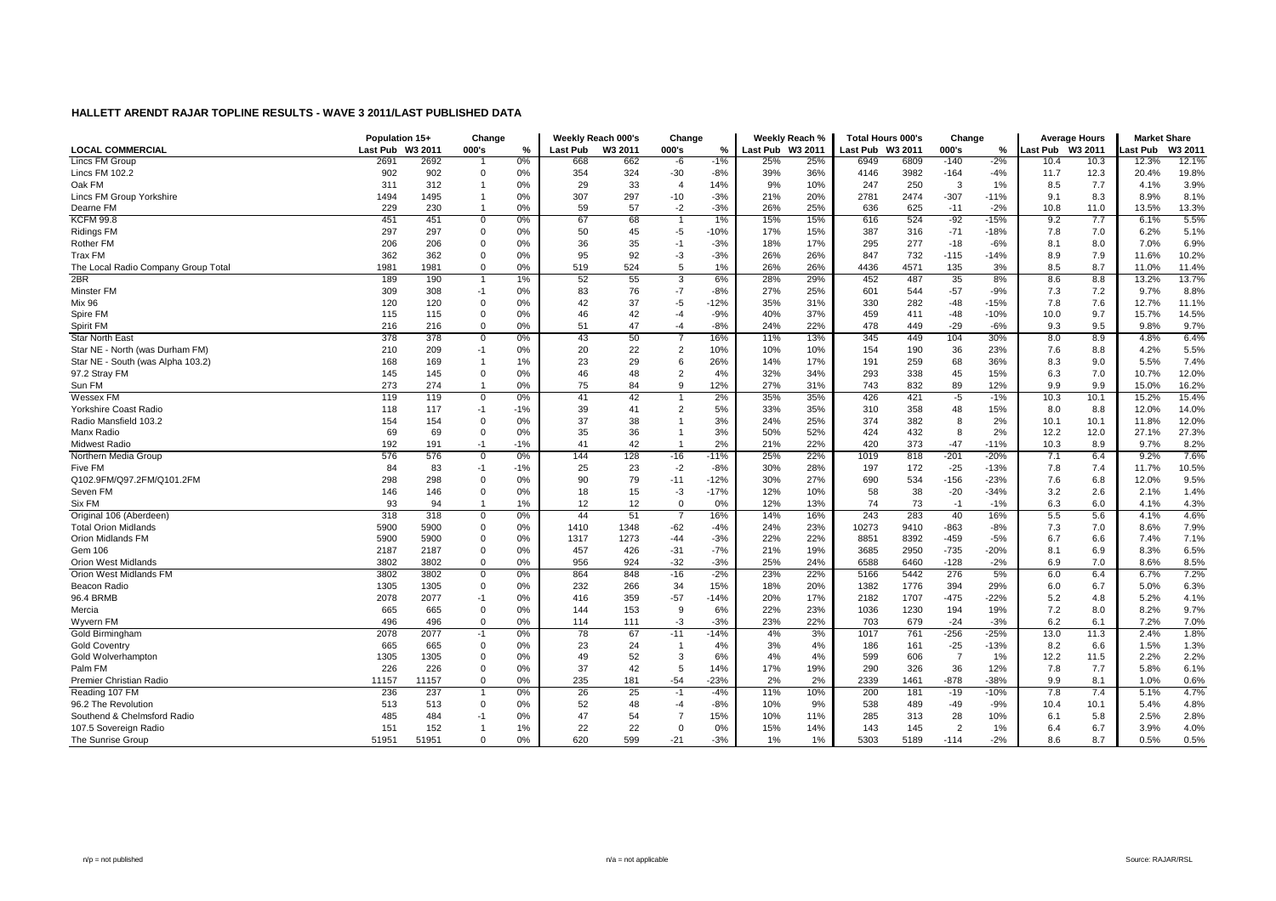|                                               | Population 15+  |         | Change         |       | Weekly Reach 000's |         | Change         |              |          | Weekly Reach % | <b>Total Hours 000's</b> |      | Change         |        |          | <b>Average Hours</b> | <b>Market Share</b> |         |
|-----------------------------------------------|-----------------|---------|----------------|-------|--------------------|---------|----------------|--------------|----------|----------------|--------------------------|------|----------------|--------|----------|----------------------|---------------------|---------|
| <b>LOCAL COMMERCIAL</b>                       | <b>Last Pub</b> | W3 2011 | 000's          | ℅     | <b>Last Pub</b>    | W3 2011 | 000's          | %            | Last Pub | W3 2011        | Last Pub W3 2011         |      | 000's          | %      | Last Pub | W3 2011              | ast Pub             | W3 2011 |
| <b>Lincs FM Group</b>                         | 2691            | 2692    |                | 0%    | 668                | 662     | -6             | $-1%$        | 25%      | 25%            | 6949                     | 6809 | $-140$         | $-2%$  | 10.4     | 10.3                 | 12.3%               | 12.1%   |
| Lincs FM 102.2                                | 902             | 902     | $\mathbf 0$    | 0%    | 354                | 324     | $-30$          | $-8%$        | 39%      | 36%            | 4146                     | 3982 | $-164$         | $-4%$  | 11.7     | 12.3                 | 20.4%               | 19.8%   |
| Oak FM                                        | 311             | 312     | $\overline{1}$ | 0%    | 29                 | 33      | $\overline{4}$ | 14%          | 9%       | 10%            | 247                      | 250  | 3              | 1%     | 8.5      | 7.7                  | 4.1%                | 3.9%    |
| Lincs FM Group Yorkshire                      | 1494            | 1495    | $\overline{1}$ | 0%    | 307                | 297     | $-10$          | $-3%$        | 21%      | 20%            | 2781                     | 2474 | $-307$         | $-11%$ | 9.1      | 8.3                  | 8.9%                | 8.1%    |
| Dearne FM                                     | 229             | 230     |                | 0%    | 59                 | 57      | $-2$           | $-3%$        | 26%      | 25%            | 636                      | 625  | $-11$          | $-2%$  | 10.8     | 11.0                 | 13.5%               | 13.3%   |
| <b>KCFM 99.8</b>                              | 451             | 451     | $\mathbf 0$    | 0%    | 67                 | 68      | $\mathbf{1}$   | 1%           | 15%      | 15%            | 616                      | 524  | $-92$          | $-15%$ | 9.2      | 7.7                  | 6.1%                | 5.5%    |
| <b>Ridings FM</b>                             | 297             | 297     | $\mathbf 0$    | 0%    | 50                 | 45      | -5             | $-10%$       | 17%      | 15%            | 387                      | 316  | $-71$          | $-18%$ | 7.8      | 7.0                  | 6.2%                | 5.1%    |
| Rother FM                                     | 206             | 206     | $^{\circ}$     | 0%    | 36                 | 35      | $-1$           | $-3%$        | 18%      | 17%            | 295                      | 277  | $-18$          | $-6%$  | 8.1      | 8.0                  | 7.0%                | 6.9%    |
| Trax FM                                       | 362             | 362     | $\mathbf 0$    | 0%    | 95                 | 92      | -3             | $-3%$        | 26%      | 26%            | 847                      | 732  | $-115$         | $-14%$ | 8.9      | 7.9                  | 11.6%               | 10.2%   |
| The Local Radio Company Group Total           | 1981            | 1981    | $\mathbf 0$    | 0%    | 519                | 524     | 5              | 1%           | 26%      | 26%            | 4436                     | 4571 | 135            | 3%     | 8.5      | 8.7                  | 11.0%               | 11.4%   |
| 2BR                                           | 189             | 190     |                | 1%    | 52                 | 55      | 3              | 6%           | 28%      | 29%            | 452                      | 487  | 35             | 8%     | 8.6      | 8.8                  | 13.2%               | 13.7%   |
| Minster FM                                    | 309             | 308     | -1             | 0%    | 83                 | 76      | $-7$           | $-8%$        | 27%      | 25%            | 601                      | 544  | $-57$          | $-9%$  | 7.3      | 7.2                  | 9.7%                | 8.8%    |
| Mix 96                                        | 120             | 120     | $\mathbf 0$    | 0%    | 42                 | 37      | $-5$           | $-12%$       | 35%      | 31%            | 330                      | 282  | $-48$          | $-15%$ | 7.8      | 7.6                  | 12.7%               | 11.1%   |
| Spire FM                                      | 115             | 115     | $\mathbf 0$    | 0%    | 46                 | 42      | $-4$           | $-9%$        | 40%      | 37%            | 459                      | 411  | $-48$          | $-10%$ | 10.0     | 9.7                  | 15.7%               | 14.5%   |
| Spirit FM                                     | 216             | 216     | $\mathbf 0$    | 0%    | 51                 | 47      | $-4$           | $-8%$        | 24%      | 22%            | 478                      | 449  | $-29$          | $-6%$  | 9.3      | 9.5                  | 9.8%                | 9.7%    |
| <b>Star North East</b>                        | 378             | 378     | $\mathbf 0$    | 0%    | 43                 | 50      | $\overline{7}$ | 16%          | 11%      | 13%            | 345                      | 449  | 104            | 30%    | 8.0      | 8.9                  | 4.8%                | 6.4%    |
| Star NE - North (was Durham FM)               | 210             | 209     | -1             | 0%    | 20                 | 22      | $\overline{c}$ | 10%          | 10%      | 10%            | 154                      | 190  | 36             | 23%    | 7.6      | 8.8                  | 4.2%                | 5.5%    |
| Star NE - South (was Alpha 103.2)             | 168             | 169     | $\overline{1}$ | 1%    | 23                 | 29      | 6              | 26%          | 14%      | 17%            | 191                      | 259  | 68             | 36%    | 8.3      | 9.0                  | 5.5%                | 7.4%    |
| 97.2 Stray FM                                 | 145             | 145     | $\mathbf 0$    | 0%    | 46                 | 48      | $\overline{2}$ | 4%           | 32%      | 34%            | 293                      | 338  | 45             | 15%    | 6.3      | 7.0                  | 10.7%               | 12.0%   |
| Sun FM                                        | 273             | 274     | $\overline{1}$ | 0%    | 75                 | 84      | 9              | 12%          | 27%      | 31%            | 743                      | 832  | 89             | 12%    | 9.9      | 9.9                  | 15.0%               | 16.2%   |
| Wessex FM                                     | 119             | 119     | $\mathbf 0$    | 0%    | 41                 | 42      |                | 2%           | 35%      | 35%            | 426                      | 421  | $-5$           | $-1%$  | 10.3     | 10.1                 | 15.2%               | 15.4%   |
| Yorkshire Coast Radio                         | 118             | 117     | -1             | $-1%$ | 39                 | 41      | $\overline{2}$ | 5%           | 33%      | 35%            | 310                      | 358  | 48             | 15%    | 8.0      | 8.8                  | 12.0%               | 14.0%   |
| Radio Mansfield 103.2                         | 154             | 154     | $\mathbf 0$    | 0%    | 37                 | 38      | $\overline{1}$ | 3%           | 24%      | 25%            | 374                      | 382  | 8              | 2%     | 10.1     | 10.1                 | 11.8%               | 12.0%   |
| Manx Radio                                    | 69              | 69      | $\mathbf 0$    | 0%    | 35                 | 36      | $\overline{1}$ | 3%           | 50%      | 52%            | 424                      | 432  | 8              | 2%     | 12.2     | 12.0                 | 27.1%               | 27.3%   |
| <b>Midwest Radio</b>                          | 192             | 191     | $-1$           | $-1%$ | 41                 | 42      |                | 2%           | 21%      | 22%            | 420                      | 373  | $-47$          | $-11%$ | 10.3     | 8.9                  | 9.7%                | 8.2%    |
| Northern Media Group                          | 576             | 576     | $\mathbf 0$    | $0\%$ | 144                | 128     | $-16$          | $-11%$       | 25%      | 22%            | 1019                     | 818  | $-201$         | $-20%$ | 7.1      | 6.4                  | 9.2%                | 7.6%    |
| Five FM                                       | 84              | 83      | -1             | -1%   | 25                 | 23      | $-2$           | $-8%$        | 30%      | 28%            | 197                      | 172  | $-25$          | $-13%$ | 7.8      | 7.4                  | 11.7%               | 10.5%   |
| Q102.9FM/Q97.2FM/Q101.2FM                     | 298             | 298     | $\mathbf 0$    | 0%    | 90                 | 79      | $-11$          | $-12%$       | 30%      | 27%            | 690                      | 534  | $-156$         | $-23%$ | 7.6      | 6.8                  | 12.0%               | 9.5%    |
| Seven FM                                      | 146             | 146     | $\mathbf 0$    | 0%    | 18                 | 15      | -3             | $-17%$       | 12%      | 10%            | 58                       | 38   | $-20$          | $-34%$ | 3.2      | 2.6                  | 2.1%                | 1.4%    |
| Six FM                                        | 93              | 94      | $\overline{1}$ | 1%    | 12                 | 12      | $\mathbf 0$    | 0%           | 12%      | 13%            | 74                       | 73   | $-1$           | $-1%$  | 6.3      | 6.0                  | 4.1%                | 4.3%    |
| Original 106 (Aberdeen)                       | 318             | 318     | $\mathbf 0$    | 0%    | 44                 | 51      | 7              | 16%          | 14%      | 16%            | 243                      | 283  | 40             | 16%    | 5.5      | 5.6                  | 4.1%                | 4.6%    |
| <b>Total Orion Midlands</b>                   | 5900            | 5900    | $\mathbf 0$    | 0%    | 1410               | 1348    | $-62$          | $-4%$        | 24%      | 23%            | 10273                    | 9410 | $-863$         | $-8%$  | 7.3      | 7.0                  | 8.6%                | 7.9%    |
| Orion Midlands FM                             | 5900            | 5900    | $\mathbf 0$    | 0%    | 1317               | 1273    | $-44$          | $-3%$        | 22%      | 22%            | 8851                     | 8392 | $-459$         | $-5%$  | 6.7      | 6.6                  | 7.4%                | 7.1%    |
| Gem 106                                       | 2187            | 2187    | $\mathbf 0$    | 0%    | 457                | 426     | $-31$          | $-7%$        | 21%      | 19%            | 3685                     | 2950 | $-735$         | $-20%$ | 8.1      | 6.9                  | 8.3%                | 6.5%    |
|                                               | 3802            | 3802    | $\mathbf 0$    | 0%    | 956                | 924     | $-32$          | $-3%$        | 25%      | 24%            | 6588                     | 6460 | $-128$         | $-2%$  | 6.9      | 7.0                  | 8.6%                | 8.5%    |
| Orion West Midlands<br>Orion West Midlands FM | 3802            | 3802    | $\overline{0}$ | $0\%$ | 864                | 848     | $-16$          | $-2%$        | 23%      | 22%            | 5166                     | 5442 | 276            | 5%     | 6.0      | 6.4                  | 6.7%                | 7.2%    |
| Beacon Radio                                  | 1305            | 1305    | $\mathbf 0$    | 0%    | 232                | 266     | 34             | 15%          | 18%      | 20%            | 1382                     | 1776 | 394            | 29%    | 6.0      | 6.7                  | 5.0%                | 6.3%    |
| 96.4 BRMB                                     | 2078            | 2077    | $-1$           | 0%    | 416                | 359     | $-57$          |              |          | 17%            | 2182                     | 1707 | $-475$         | $-22%$ | 5.2      | 4.8                  | 5.2%                | 4.1%    |
|                                               |                 | 665     | $\mathbf 0$    | 0%    | 144                | 153     | 9              | $-14%$<br>6% | 20%      | 23%            |                          | 1230 |                | 19%    | 7.2      | 8.0                  | 8.2%                | 9.7%    |
| Mercia                                        | 665             |         |                |       |                    |         |                |              | 22%      |                | 1036                     |      | 194            |        |          |                      |                     |         |
| Wyvern FM                                     | 496             | 496     | $\mathbf 0$    | 0%    | 114                | 111     | $-3$           | $-3%$        | 23%      | 22%            | 703                      | 679  | $-24$          | $-3%$  | 6.2      | 6.1                  | 7.2%                | 7.0%    |
| Gold Birmingham                               | 2078            | 2077    | $-1$           | 0%    | 78                 | 67      | $-11$          | $-14%$       | 4%       | 3%             | 1017                     | 761  | $-256$         | $-25%$ | 13.0     | 11.3                 | 2.4%                | 1.8%    |
| <b>Gold Coventry</b>                          | 665             | 665     | $\mathbf 0$    | 0%    | 23                 | 24      | -1             | 4%           | 3%       | 4%             | 186                      | 161  | $-25$          | $-13%$ | 8.2      | 6.6                  | 1.5%                | 1.3%    |
| Gold Wolverhampton                            | 1305            | 1305    | $\mathbf 0$    | 0%    | 49                 | 52      | 3              | 6%           | 4%       | 4%             | 599                      | 606  | $\overline{7}$ | 1%     | 12.2     | 11.5                 | 2.2%                | 2.2%    |
| Palm FM                                       | 226             | 226     | $\mathbf 0$    | 0%    | 37                 | 42      | 5              | 14%          | 17%      | 19%            | 290                      | 326  | 36             | 12%    | 7.8      | 7.7                  | 5.8%                | 6.1%    |
| Premier Christian Radio                       | 11157           | 11157   | $\mathbf 0$    | 0%    | 235                | 181     | $-54$          | $-23%$       | 2%       | 2%             | 2339                     | 1461 | $-878$         | $-38%$ | 9.9      | 8.1                  | 1.0%                | 0.6%    |
| Reading 107 FM                                | 236             | 237     |                | 0%    | 26                 | 25      | $-1$           | $-4%$        | 11%      | 10%            | 200                      | 181  | $-19$          | $-10%$ | 7.8      | 7.4                  | 5.1%                | 4.7%    |
| 96.2 The Revolution                           | 513             | 513     | $\Omega$       | 0%    | 52                 | 48      | $-4$           | $-8%$        | 10%      | 9%             | 538                      | 489  | $-49$          | -9%    | 10.4     | 10.1                 | 5.4%                | 4.8%    |
| Southend & Chelmsford Radio                   | 485             | 484     | -1             | 0%    | 47                 | 54      | $\overline{7}$ | 15%          | 10%      | 11%            | 285                      | 313  | 28             | 10%    | 6.1      | 5.8                  | 2.5%                | 2.8%    |
| 107.5 Sovereign Radio                         | 151             | 152     |                | 1%    | 22                 | 22      | $\overline{0}$ | 0%           | 15%      | 14%            | 143                      | 145  | $\overline{2}$ | 1%     | 6.4      | 6.7                  | 3.9%                | 4.0%    |
| The Sunrise Group                             | 51951           | 51951   | $\mathbf{0}$   | 0%    | 620                | 599     | $-21$          | $-3%$        | $1\%$    | 1%             | 5303                     | 5189 | $-114$         | $-2%$  | 8.6      | 8.7                  | 0.5%                | 0.5%    |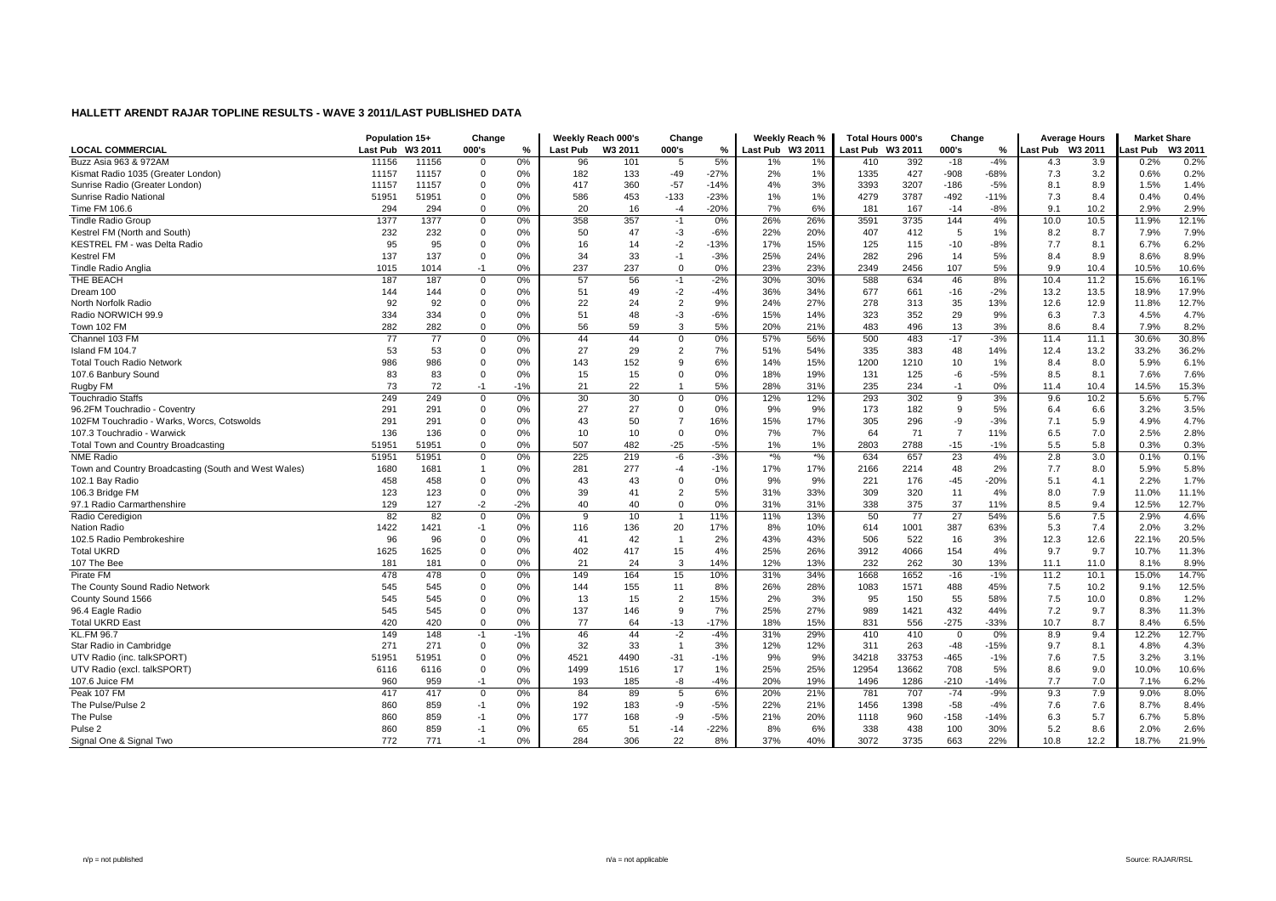|                                                      | Population 15+   |                 | Change         |       |          | Weekly Reach 000's | Change         |        |                  | Weekly Reach % | <b>Total Hours 000's</b> |                 | Change         |        |                  | <b>Average Hours</b> | <b>Market Share</b> |         |
|------------------------------------------------------|------------------|-----------------|----------------|-------|----------|--------------------|----------------|--------|------------------|----------------|--------------------------|-----------------|----------------|--------|------------------|----------------------|---------------------|---------|
| <b>LOCAL COMMERCIAL</b>                              | Last Pub W3 2011 |                 | 000's          | %     | Last Pub | W3 2011            | 000's          | %      | Last Pub W3 2011 |                | Last Pub W3 2011         |                 | 000's          | %      | Last Pub W3 2011 |                      | ast Pub             | W3 2011 |
| Buzz Asia 963 & 972AM                                | 11156            | 11156           | $\mathbf 0$    | 0%    | 96       | 101                | 5              | 5%     | 1%               | 1%             | 410                      | 392             | $-18$          | $-4%$  | 4.3              | 3.9                  | 0.2%                | 0.2%    |
| Kismat Radio 1035 (Greater London)                   | 11157            | 11157           | $\mathbf 0$    | 0%    | 182      | 133                | $-49$          | $-27%$ | 2%               | 1%             | 1335                     | 427             | $-908$         | $-68%$ | 7.3              | 3.2                  | 0.6%                | 0.2%    |
| Sunrise Radio (Greater London)                       | 11157            | 11157           | $\mathbf 0$    | 0%    | 417      | 360                | $-57$          | $-14%$ | 4%               | 3%             | 3393                     | 3207            | $-186$         | $-5%$  | 8.1              | 8.9                  | 1.5%                | 1.4%    |
| Sunrise Radio National                               | 51951            | 51951           | $\mathbf 0$    | 0%    | 586      | 453                | $-133$         | $-23%$ | 1%               | 1%             | 4279                     | 3787            | $-492$         | $-11%$ | 7.3              | 8.4                  | 0.4%                | 0.4%    |
| Time FM 106.6                                        | 294              | 294             | $\mathbf 0$    | 0%    | 20       | 16                 | $-4$           | $-20%$ | 7%               | 6%             | 181                      | 167             | $-14$          | $-8%$  | 9.1              | 10.2                 | 2.9%                | 2.9%    |
| <b>Tindle Radio Group</b>                            | 1377             | 1377            | $\mathbf{0}$   | 0%    | 358      | 357                | $-1$           | 0%     | 26%              | 26%            | 3591                     | 3735            | 144            | 4%     | 10.0             | 10.5                 | 11.9%               | 12.1%   |
| Kestrel FM (North and South)                         | 232              | 232             | $\Omega$       | 0%    | 50       | 47                 | $-3$           | $-6%$  | 22%              | 20%            | 407                      | 412             | 5              | 1%     | 8.2              | 8.7                  | 7.9%                | 7.9%    |
| KESTREL FM - was Delta Radio                         | 95               | 95              | $\Omega$       | 0%    | 16       | 14                 | $-2$           | $-13%$ | 17%              | 15%            | 125                      | 115             | $-10$          | $-8%$  | 7.7              | 8.1                  | 6.7%                | 6.2%    |
| <b>Kestrel FM</b>                                    | 137              | 137             | $\mathbf{0}$   | 0%    | 34       | 33                 | $-1$           | $-3%$  | 25%              | 24%            | 282                      | 296             | 14             | 5%     | 8.4              | 8.9                  | 8.6%                | 8.9%    |
| Tindle Radio Anglia                                  | 1015             | 1014            | $-1$           | 0%    | 237      | 237                | $\Omega$       | 0%     | 23%              | 23%            | 2349                     | 2456            | 107            | 5%     | 9.9              | 10.4                 | 10.5%               | 10.6%   |
| THE BEACH                                            | 187              | 187             | $\mathbf 0$    | 0%    | 57       | 56                 | $-1$           | $-2%$  | 30%              | 30%            | 588                      | 634             | 46             | 8%     | 10.4             | 11.2                 | 15.6%               | 16.1%   |
| Dream 100                                            | 144              | 144             | $\mathbf 0$    | 0%    | 51       | 49                 | $-2$           | $-4%$  | 36%              | 34%            | 677                      | 661             | $-16$          | $-2%$  | 13.2             | 13.5                 | 18.9%               | 17.9%   |
| North Norfolk Radio                                  | 92               | 92              | $\Omega$       | 0%    | 22       | 24                 | $\overline{2}$ | 9%     | 24%              | 27%            | 278                      | 313             | 35             | 13%    | 12.6             | 12.9                 | 11.8%               | 12.7%   |
| Radio NORWICH 99.9                                   | 334              | 334             | $\mathbf 0$    | 0%    | 51       | 48                 | $-3$           | $-6%$  | 15%              | 14%            | 323                      | 352             | 29             | 9%     | 6.3              | 7.3                  | 4.5%                | 4.7%    |
| Town 102 FM                                          | 282              | 282             | $\Omega$       | 0%    | 56       | 59                 | 3              | 5%     | 20%              | 21%            | 483                      | 496             | 13             | 3%     | 8.6              | 8.4                  | 7.9%                | 8.2%    |
| Channel 103 FM                                       | $\overline{77}$  | $\overline{77}$ | $\mathbf 0$    | 0%    | 44       | 44                 | $\mathbf 0$    | 0%     | 57%              | 56%            | 500                      | 483             | $-17$          | $-3%$  | 11.4             | 11.1                 | 30.6%               | 30.8%   |
| Island FM 104.7                                      | 53               | 53              | $\Omega$       | 0%    | 27       | 29                 | 2              | 7%     | 51%              | 54%            | 335                      | 383             | 48             | 14%    | 12.4             | 13.2                 | 33.2%               | 36.2%   |
| <b>Total Touch Radio Network</b>                     | 986              | 986             | $\Omega$       | 0%    | 143      | 152                | 9              | 6%     | 14%              | 15%            | 1200                     | 1210            | 10             | 1%     | 8.4              | 8.0                  | 5.9%                | 6.1%    |
| 107.6 Banbury Sound                                  | 83               | 83              | $\Omega$       | 0%    | 15       | 15                 | $\Omega$       | 0%     | 18%              | 19%            | 131                      | 125             | $-6$           | $-5%$  | 8.5              | 8.1                  | 7.6%                | 7.6%    |
| Rugby FM                                             | 73               | 72              | $-1$           | $-1%$ | 21       | 22                 | $\overline{1}$ | 5%     | 28%              | 31%            | 235                      | 234             | $-1$           | 0%     | 11.4             | 10.4                 | 14.5%               | 15.3%   |
| <b>Touchradio Staffs</b>                             | 249              | 249             | $\Omega$       | 0%    | 30       | 30                 | $\mathbf 0$    | 0%     | 12%              | 12%            | 293                      | 302             | 9              | 3%     | 9.6              | 10.2                 | 5.6%                | 5.7%    |
| 96.2FM Touchradio - Coventry                         | 291              | 291             | $\Omega$       | 0%    | 27       | 27                 | $\mathbf 0$    | 0%     | 9%               | 9%             | 173                      | 182             | 9              | 5%     | 6.4              | 6.6                  | 3.2%                | 3.5%    |
| 102FM Touchradio - Warks, Worcs, Cotswolds           | 291              | 291             | $\Omega$       | 0%    | 43       | 50                 | $\overline{7}$ | 16%    | 15%              | 17%            | 305                      | 296             | -9             | $-3%$  | 7.1              | 5.9                  | 4.9%                | 4.7%    |
| 107.3 Touchradio - Warwick                           | 136              | 136             | $\mathbf 0$    | 0%    | 10       | 10                 | $\Omega$       | 0%     | 7%               | 7%             | 64                       | 71              | $\overline{7}$ | 11%    | 6.5              | 7.0                  | 2.5%                | 2.8%    |
| Total Town and Country Broadcasting                  | 51951            | 51951           | $\mathbf 0$    | 0%    | 507      | 482                | $-25$          | $-5%$  | 1%               | 1%             | 2803                     | 2788            | $-15$          | $-1%$  | 5.5              | 5.8                  | 0.3%                | 0.3%    |
| <b>NME Radio</b>                                     | 5195             | 51951           | $\mathbf 0$    | 0%    | 225      | 219                | -6             | $-3%$  | $*$ %            | $*$ %          | 634                      | 657             | 23             | 4%     | 2.8              | 3.0                  | 0.1%                | 0.1%    |
| Town and Country Broadcasting (South and West Wales) | 1680             | 1681            | -1             | 0%    | 281      | 277                | -4             | $-1%$  | 17%              | 17%            | 2166                     | 2214            | 48             | 2%     | 7.7              | 8.0                  | 5.9%                | 5.8%    |
| 102.1 Bay Radio                                      | 458              | 458             | $\Omega$       | 0%    | 43       | 43                 | $\Omega$       | 0%     | 9%               | 9%             | 221                      | 176             | $-45$          | $-20%$ | 5.1              | 4.1                  | 2.2%                | 1.7%    |
| 106.3 Bridge FM                                      | 123              | 123             | $\mathbf{0}$   | 0%    | 39       | 41                 | $\overline{2}$ | 5%     | 31%              | 33%            | 309                      | 320             | 11             | 4%     | 8.0              | 7.9                  | 11.0%               | 11.1%   |
| 97.1 Radio Carmarthenshire                           | 129              | 127             | $-2$           | $-2%$ | 40       | 40                 | $\mathbf 0$    | 0%     | 31%              | 31%            | 338                      | 375             | 37             | 11%    | 8.5              | 9.4                  | 12.5%               | 12.7%   |
| Radio Ceredigion                                     | 82               | 82              | $\mathbf{0}$   | 0%    | 9        | 10                 | $\overline{1}$ | 11%    | 11%              | 13%            | 50                       | $\overline{77}$ | 27             | 54%    | 5.6              | 7.5                  | 2.9%                | 4.6%    |
| <b>Nation Radio</b>                                  | 1422             | 1421            | -1             | 0%    | 116      | 136                | 20             | 17%    | 8%               | 10%            | 614                      | 1001            | 387            | 63%    | 5.3              | 7.4                  | 2.0%                | 3.2%    |
| 102.5 Radio Pembrokeshire                            | 96               | 96              | $\mathbf 0$    | 0%    | 41       | 42                 | $\overline{1}$ | 2%     | 43%              | 43%            | 506                      | 522             | 16             | 3%     | 12.3             | 12.6                 | 22.1%               | 20.5%   |
| <b>Total UKRD</b>                                    | 1625             | 1625            | $\mathbf 0$    | 0%    | 402      | 417                | 15             | 4%     | 25%              | 26%            | 3912                     | 4066            | 154            | 4%     | 9.7              | 9.7                  | 10.7%               | 11.3%   |
| 107 The Bee                                          | 181              | 181             | $\mathbf{0}$   | 0%    | 21       | 24                 | 3              | 14%    | 12%              | 13%            | 232                      | 262             | 30             | 13%    | 11.1             | 11.0                 | 8.1%                | 8.9%    |
| Pirate FM                                            | 478              | 478             | $\mathbf{0}$   | 0%    | 149      | 164                | 15             | 10%    | 31%              | 34%            | 1668                     | 1652            | $-16$          | $-1%$  | 11.2             | 10.1                 | 15.0%               | 14.7%   |
| The County Sound Radio Network                       | 545              | 545             | $\Omega$       | 0%    | 144      | 155                | 11             | 8%     | 26%              | 28%            | 1083                     | 1571            | 488            | 45%    | 7.5              | 10.2                 | 9.1%                | 12.5%   |
| County Sound 1566                                    | 545              | 545             | $\Omega$       | 0%    | 13       | 15                 | $\overline{2}$ | 15%    | 2%               | 3%             | 95                       | 150             | 55             | 58%    | 7.5              | 10.0                 | 0.8%                | 1.2%    |
| 96.4 Eagle Radio                                     | 545              | 545             | $\mathbf{0}$   | 0%    | 137      | 146                | 9              | 7%     | 25%              | 27%            | 989                      | 1421            | 432            | 44%    | 7.2              | 9.7                  | 8.3%                | 11.3%   |
| <b>Total UKRD East</b>                               | 420              | 420             | $\Omega$       | 0%    | 77       | 64                 | $-13$          | $-17%$ | 18%              | 15%            | 831                      | 556             | $-275$         | $-33%$ | 10.7             | 8.7                  | 8.4%                | 6.5%    |
| <b>KL.FM 96.7</b>                                    | 149              | 148             | $-1$           | $-1%$ | 46       | 44                 | $-2$           | $-4%$  | 31%              | 29%            | 410                      | 410             | $\mathbf 0$    | 0%     | 8.9              | 9.4                  | 12.2%               | 12.7%   |
| Star Radio in Cambridge                              | 271              | 271             | $\mathbf{0}$   | 0%    | 32       | 33                 | $\overline{1}$ | 3%     | 12%              | 12%            | 311                      | 263             | $-48$          | $-15%$ | 9.7              | 8.1                  | 4.8%                | 4.3%    |
| UTV Radio (inc. talkSPORT)                           | 51951            | 51951           | $\overline{0}$ | 0%    | 4521     | 4490               | $-31$          | $-1%$  | 9%               | 9%             | 34218                    | 33753           | $-465$         | $-1%$  | 7.6              | 7.5                  | 3.2%                | 3.1%    |
| UTV Radio (excl. talkSPORT)                          | 6116             | 6116            | $\mathbf 0$    | 0%    | 1499     | 1516               | 17             | 1%     | 25%              | 25%            | 12954                    | 13662           | 708            | 5%     | 8.6              | 9.0                  | 10.0%               | 10.6%   |
| 107.6 Juice FM                                       | 960              | 959             | $-1$           | 0%    | 193      | 185                | -8             | $-4%$  | 20%              | 19%            | 1496                     | 1286            | $-210$         | $-14%$ | 7.7              | 7.0                  | 7.1%                | 6.2%    |
| Peak 107 FM                                          | 417              | 417             | $\mathbf 0$    | 0%    | 84       | 89                 | 5              | 6%     | 20%              | 21%            | 781                      | 707             | $-74$          | $-9%$  | 9.3              | 7.9                  | 9.0%                | 8.0%    |
| The Pulse/Pulse 2                                    | 860              | 859             | $-1$           | 0%    | 192      | 183                | -9             | $-5%$  | 22%              | 21%            | 1456                     | 1398            | $-58$          | $-4%$  | 7.6              | 7.6                  | 8.7%                | 8.4%    |
| The Pulse                                            | 860              | 859             | $-1$           | 0%    | 177      | 168                | -9             | $-5%$  | 21%              | 20%            | 1118                     | 960             | $-158$         | $-14%$ | 6.3              | 5.7                  | 6.7%                | 5.8%    |
| Pulse 2                                              | 860              | 859             | $-1$           | 0%    | 65       | 51                 | $-14$          | $-22%$ | 8%               | 6%             | 338                      | 438             | 100            | 30%    | 5.2              | 8.6                  | 2.0%                | 2.6%    |
| Signal One & Signal Two                              | 772              | 771             | $-1$           | 0%    | 284      | 306                | 22             | 8%     | 37%              | 40%            | 3072                     | 3735            | 663            | 22%    | 10.8             | 12.2                 | 18.7%               | 21.9%   |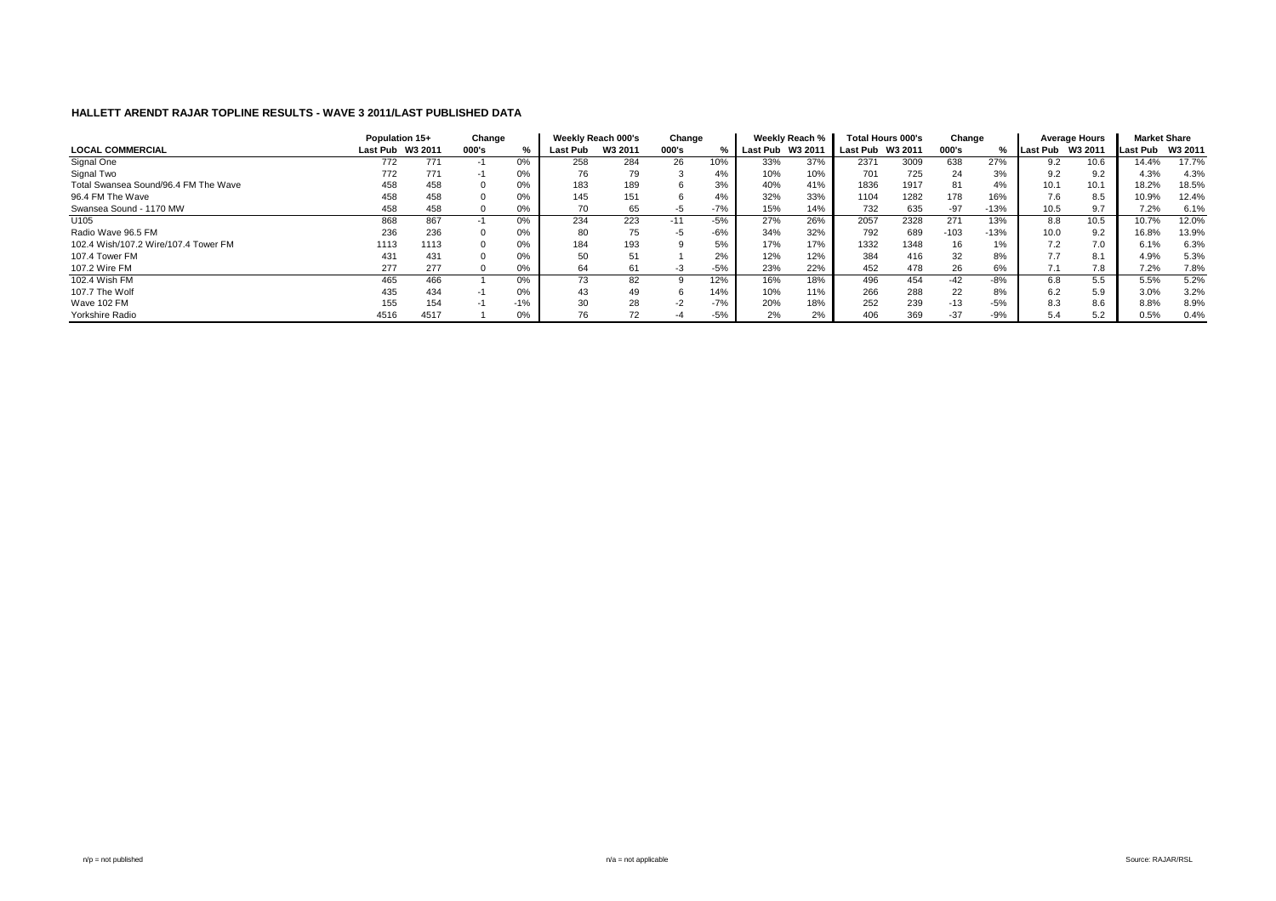|                                      | Population 15+   |      | Change |               |          | Weekly Reach 000's | Change |       |                  | Weekly Reach % |                  | Total Hours 000's | Change |        |                  | <b>Average Hours</b> | <b>Market Share</b> |       |
|--------------------------------------|------------------|------|--------|---------------|----------|--------------------|--------|-------|------------------|----------------|------------------|-------------------|--------|--------|------------------|----------------------|---------------------|-------|
| <b>LOCAL COMMERCIAL</b>              | Last Pub W3 2011 |      | 000's  | $\frac{0}{6}$ | Last Pub | W3 2011            | 000's  |       | Last Pub W3 2011 |                | Last Pub W3 2011 |                   | 000's  | %      | Last Pub W3 2011 |                      | Last Pub W3 2011    |       |
| Signal One                           | 772              | 771  |        | 0%            | 258      | 284                | 26     | 10%   | 33%              | 37%            | 2371             | 3009              | 638    | 27%    | 9.2              | 10.6                 | 14.4%               | 17.7% |
| Signal Two                           | 772              | 771  | -1     | 0%            | 76       | 79                 |        | 4%    | 10%              | 10%            | 701              | 725               | 24     | 3%     | 9.2              | 9.2                  | 4.3%                | 4.3%  |
| Total Swansea Sound/96.4 FM The Wave | 458              | 458  |        | 0%            | 183      | 189                |        | 3%    | 40%              | 41%            | 1836             | 1917              | 81     | 4%     | 10.1             | 10.1                 | 18.2%               | 18.5% |
| 96.4 FM The Wave                     | 458              | 458  |        | 0%            | 145      | 151                |        | 4%    | 32%              | 33%            | 1104             | 1282              | 178    | 16%    | 7.6              | 8.5                  | 10.9%               | 12.4% |
| Swansea Sound - 1170 MW              | 458              | 458  |        | 0%            | 70       | 65                 | -5     | $-7%$ | 15%              | 14%            | 732              | 635               | $-97$  | -13%   | 10.5             | 9.7                  | 7.2%                | 6.1%  |
| U105                                 | 868              | 867  |        | 0%            | 234      | 223                | $-11$  | $-5%$ | 27%              | 26%            | 2057             | 2328              | 271    | 13%    | 8.8              | 10.5                 | 10.7%               | 12.0% |
| Radio Wave 96.5 FM                   | 236              | 236  |        | 0%            | 80       | 75                 | -5     | $-6%$ | 34%              | 32%            | 792              | 689               | $-103$ | $-13%$ | 10.0             | 9.2                  | 16.8%               | 13.9% |
| 102.4 Wish/107.2 Wire/107.4 Tower FM | 1113             | 1113 |        | 0%            | 184      | 193                |        | 5%    | 17%              | 17%            | 1332             | 1348              | 16     | 1%     | 7.2              | 7.0                  | 6.1%                | 6.3%  |
| 107.4 Tower FM                       | 431              | 431  |        | 0%            | 50       | 51                 |        | 2%    | 12%              | 12%            | 384              | 416               | 32     | 8%     | 7.7              | 8.1                  | 4.9%                | 5.3%  |
| 107.2 Wire FM                        | 277              | 277  |        | 0%            | 64       | 61                 | -3     | $-5%$ | 23%              | 22%            | 452              | 478               | 26     | 6%     | $\overline{1}$ . | 7.8                  | 7.2%                | 7.8%  |
| 102.4 Wish FM                        | 465              | 466  |        | 0%            | 73       |                    |        | 12%   | 16%              | 18%            | 496              | 454               | $-42$  | $-8%$  | 6.8              | 5.5                  | 5.5%                | 5.2%  |
| 107.7 The Wolf                       | 435              | 434  |        | 0%            | 43       |                    |        | 14%   | 10%              | 11%            | 266              | 288               | 22     | 8%     | 6.2              | 5.9                  | 3.0%                | 3.2%  |
| Wave 102 FM                          | 155              | 154  |        | $-1%$         | 30       | 28                 |        | $-7%$ | 20%              | 18%            | 252              | 239               | $-13$  | $-5%$  | 8.3              | 8.6                  | 8.8%                | 8.9%  |
| Yorkshire Radio                      | 4516             | 4517 |        | 0%            | 76       | 72                 | -4     | $-5%$ | 2%               | 2%             | 406              | 369               | $-37$  | $-9%$  | 5.4              | 5.2                  | 0.5%                | 0.4%  |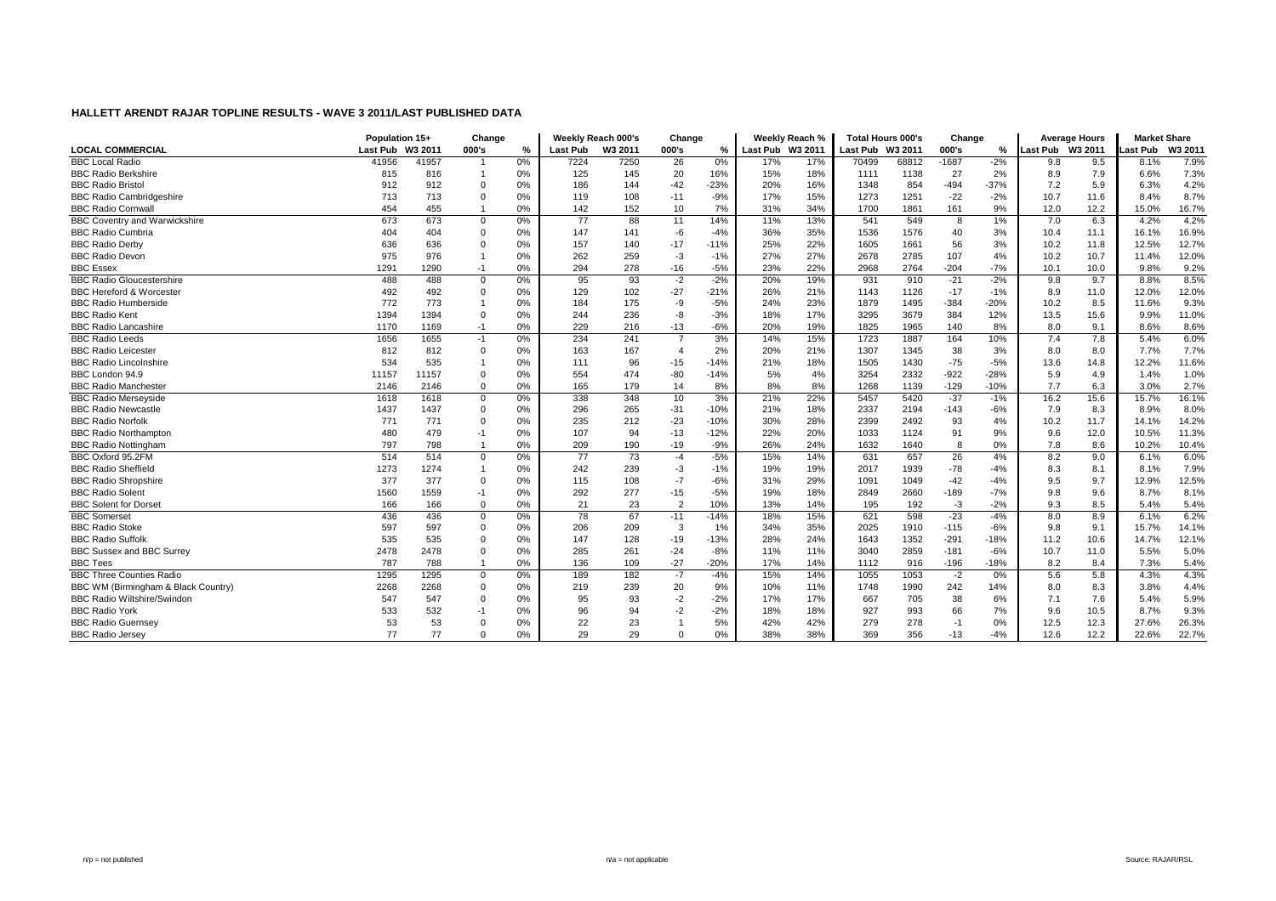|                                      | Population 15+   |       | Change         |    |                 | Weekly Reach 000's | Change         |        |                  | Weekly Reach % |                  | <b>Total Hours 000's</b> | Change  |        |                  | <b>Average Hours</b> | <b>Market Share</b> |         |
|--------------------------------------|------------------|-------|----------------|----|-----------------|--------------------|----------------|--------|------------------|----------------|------------------|--------------------------|---------|--------|------------------|----------------------|---------------------|---------|
| <b>LOCAL COMMERCIAL</b>              | Last Pub W3 2011 |       | 000's          | %  | Last Pub        | W3 2011            | 000's          | %      | Last Pub W3 2011 |                | Last Pub W3 2011 |                          | 000's   | %      | Last Pub W3 2011 |                      | Last Pub            | W3 2011 |
| <b>BBC Local Radio</b>               | 41956            | 41957 |                | 0% | 7224            | 7250               | 26             | 0%     | 17%              | 17%            | 70499            | 68812                    | $-1687$ | $-2%$  | 9.8              | 9.5                  | 8.1%                | 7.9%    |
| <b>BBC Radio Berkshire</b>           | 815              | 816   |                | 0% | 125             | 145                | 20             | 16%    | 15%              | 18%            | 1111             | 1138                     | 27      | 2%     | 8.9              | 7.9                  | 6.6%                | 7.3%    |
| <b>BBC Radio Bristol</b>             | 912              | 912   | $\Omega$       | 0% | 186             | 144                | $-42$          | $-23%$ | 20%              | 16%            | 1348             | 854                      | $-494$  | $-37%$ | 7.2              | 5.9                  | 6.3%                | 4.2%    |
| <b>BBC Radio Cambridgeshire</b>      | 713              | 713   | $\Omega$       | 0% | 119             | 108                | $-11$          | $-9%$  | 17%              | 15%            | 1273             | 1251                     | $-22$   | $-2%$  | 10.7             | 11.6                 | 8.4%                | 8.7%    |
| <b>BBC Radio Cornwall</b>            | 454              | 455   |                | 0% | 142             | 152                | 10             | 7%     | 31%              | 34%            | 1700             | 1861                     | 161     | 9%     | 12.0             | 12.2                 | 15.0%               | 16.7%   |
| <b>BBC Coventry and Warwickshire</b> | 673              | 673   | $\mathbf 0$    | 0% | $\overline{77}$ | 88                 | 11             | 14%    | 11%              | 13%            | 541              | 549                      | 8       | 1%     | 7.0              | 6.3                  | 4.2%                | 4.2%    |
| <b>BBC Radio Cumbria</b>             | 404              | 404   | $\Omega$       | 0% | 147             | 141                | -6             | $-4%$  | 36%              | 35%            | 1536             | 1576                     | 40      | 3%     | 10.4             | 11.1                 | 16.1%               | 16.9%   |
| <b>BBC Radio Derby</b>               | 636              | 636   | $\Omega$       | 0% | 157             | 140                | $-17$          | $-11%$ | 25%              | 22%            | 1605             | 1661                     | 56      | 3%     | 10.2             | 11.8                 | 12.5%               | 12.7%   |
| <b>BBC Radio Devon</b>               | 975              | 976   |                | 0% | 262             | 259                | $-3$           | $-1%$  | 27%              | 27%            | 2678             | 2785                     | 107     | 4%     | 10.2             | 10.7                 | 11.4%               | 12.0%   |
| <b>BBC Essex</b>                     | 1291             | 1290  | $-1$           | 0% | 294             | 278                | $-16$          | $-5%$  | 23%              | 22%            | 2968             | 2764                     | $-204$  | $-7%$  | 10.1             | 10.0                 | 9.8%                | 9.2%    |
| <b>BBC Radio Gloucestershire</b>     | 488              | 488   | $\mathbf 0$    | 0% | 95              | 93                 | $-2$           | $-2%$  | 20%              | 19%            | 931              | 910                      | $-21$   | $-2%$  | 9.8              | 9.7                  | 8.8%                | 8.5%    |
| <b>BBC Hereford &amp; Worcester</b>  | 492              | 492   | $\Omega$       | 0% | 129             | 102                | $-27$          | $-21%$ | 26%              | 21%            | 1143             | 1126                     | $-17$   | $-1%$  | 8.9              | 11.0                 | 12.0%               | 12.0%   |
| <b>BBC Radio Humberside</b>          | 772              | 773   |                | 0% | 184             | 175                | -9             | $-5%$  | 24%              | 23%            | 1879             | 1495                     | $-384$  | $-20%$ | 10.2             | 8.5                  | 11.6%               | 9.3%    |
| <b>BBC Radio Kent</b>                | 1394             | 1394  | $\Omega$       | 0% | 244             | 236                | $-8$           | $-3%$  | 18%              | 17%            | 3295             | 3679                     | 384     | 12%    | 13.5             | 15.6                 | 9.9%                | 11.0%   |
| <b>BBC Radio Lancashire</b>          | 1170             | 1169  | $-1$           | 0% | 229             | 216                | $-13$          | $-6%$  | 20%              | 19%            | 1825             | 1965                     | 140     | 8%     | 8.0              | 9.1                  | 8.6%                | 8.6%    |
| <b>BBC Radio Leeds</b>               | 1656             | 1655  | $-1$           | 0% | 234             | 241                | $\overline{7}$ | 3%     | 14%              | 15%            | 1723             | 1887                     | 164     | 10%    | 7.4              | 7.8                  | 5.4%                | 6.0%    |
| <b>BBC Radio Leicester</b>           | 812              | 812   | $\Omega$       | 0% | 163             | 167                | $\overline{4}$ | 2%     | 20%              | 21%            | 1307             | 1345                     | 38      | 3%     | 8.0              | 8.0                  | 7.7%                | 7.7%    |
| <b>BBC Radio Lincolnshire</b>        | 534              | 535   |                | 0% | 111             | 96                 | $-15$          | $-14%$ | 21%              | 18%            | 1505             | 1430                     | $-75$   | $-5%$  | 13.6             | 14.8                 | 12.2%               | 11.6%   |
| BBC London 94.9                      | 11157            | 11157 | $\Omega$       | 0% | 554             | 474                | $-80$          | $-14%$ | 5%               | 4%             | 3254             | 2332                     | $-922$  | $-28%$ | 5.9              | 4.9                  | 1.4%                | 1.0%    |
| <b>BBC Radio Manchester</b>          | 2146             | 2146  | $\mathbf 0$    | 0% | 165             | 179                | 14             | 8%     | 8%               | 8%             | 1268             | 1139                     | $-129$  | $-10%$ | 7.7              | 6.3                  | 3.0%                | 2.7%    |
| <b>BBC Radio Merseyside</b>          | 1618             | 1618  | $\mathbf 0$    | 0% | 338             | 348                | 10             | 3%     | 21%              | 22%            | 5457             | 5420                     | $-37$   | $-1%$  | 16.2             | 15.6                 | 15.7%               | 16.1%   |
| <b>BBC Radio Newcastle</b>           | 1437             | 1437  | $\overline{0}$ | 0% | 296             | 265                | $-31$          | $-10%$ | 21%              | 18%            | 2337             | 2194                     | $-143$  | $-6%$  | 7.9              | 8.3                  | 8.9%                | 8.0%    |
| <b>BBC Radio Norfolk</b>             | 771              | 771   | $\Omega$       | 0% | 235             | 212                | $-23$          | $-10%$ | 30%              | 28%            | 2399             | 2492                     | 93      | 4%     | 10.2             | 11.7                 | 14.1%               | 14.2%   |
| <b>BBC Radio Northampton</b>         | 480              | 479   | $-1$           | 0% | 107             | 94                 | $-13$          | $-12%$ | 22%              | 20%            | 1033             | 1124                     | 91      | 9%     | 9.6              | 12.0                 | 10.5%               | 11.3%   |
| <b>BBC Radio Nottingham</b>          | 797              | 798   |                | 0% | 209             | 190                | $-19$          | $-9%$  | 26%              | 24%            | 1632             | 1640                     | 8       | 0%     | 7.8              | 8.6                  | 10.2%               | 10.4%   |
| BBC Oxford 95.2FM                    | 514              | 514   | $\Omega$       | 0% | $\overline{77}$ | 73                 | $-4$           | $-5%$  | 15%              | 14%            | 631              | 657                      | 26      | 4%     | 8.2              | 9.0                  | 6.1%                | 6.0%    |
| <b>BBC Radio Sheffield</b>           | 1273             | 1274  |                | 0% | 242             | 239                | $-3$           | $-1%$  | 19%              | 19%            | 2017             | 1939                     | $-78$   | $-4%$  | 8.3              | 8.1                  | 8.1%                | 7.9%    |
| <b>BBC Radio Shropshire</b>          | 377              | 377   | $\Omega$       | 0% | 115             | 108                | $-7$           | $-6%$  | 31%              | 29%            | 1091             | 1049                     | $-42$   | $-4%$  | 9.5              | 9.7                  | 12.9%               | 12.5%   |
| <b>BBC Radio Solent</b>              | 1560             | 1559  | $-1$           | 0% | 292             | 277                | $-15$          | $-5%$  | 19%              | 18%            | 2849             | 2660                     | $-189$  | $-7%$  | 9.8              | 9.6                  | 8.7%                | 8.1%    |
| <b>BBC Solent for Dorset</b>         | 166              | 166   | $\overline{0}$ | 0% | 21              | 23                 | $\overline{2}$ | 10%    | 13%              | 14%            | 195              | 192                      | $-3$    | $-2%$  | 9.3              | 8.5                  | 5.4%                | 5.4%    |
| <b>BBC</b> Somerset                  | 436              | 436   | $\mathbf 0$    | 0% | 78              | 67                 | $-11$          | $-14%$ | 18%              | 15%            | 621              | 598                      | $-23$   | $-4%$  | 8.0              | 8.9                  | 6.1%                | 6.2%    |
| <b>BBC Radio Stoke</b>               | 597              | 597   | $\overline{0}$ | 0% | 206             | 209                | 3              | 1%     | 34%              | 35%            | 2025             | 1910                     | $-115$  | $-6%$  | 9.8              | 9.1                  | 15.7%               | 14.1%   |
| <b>BBC Radio Suffolk</b>             | 535              | 535   | $\Omega$       | 0% | 147             | 128                | $-19$          | $-13%$ | 28%              | 24%            | 1643             | 1352                     | $-291$  | $-18%$ | 11.2             | 10.6                 | 14.7%               | 12.1%   |
| <b>BBC Sussex and BBC Surrey</b>     | 2478             | 2478  | $\Omega$       | 0% | 285             | 261                | $-24$          | $-8%$  | 11%              | 11%            | 3040             | 2859                     | $-181$  | $-6%$  | 10.7             | 11.0                 | 5.5%                | 5.0%    |
| <b>BBC Tees</b>                      | 787              | 788   |                | 0% | 136             | 109                | $-27$          | $-20%$ | 17%              | 14%            | 1112             | 916                      | $-196$  | $-18%$ | 8.2              | 8.4                  | 7.3%                | 5.4%    |
| <b>BBC Three Counties Radio</b>      | 1295             | 1295  | $\mathbf 0$    | 0% | 189             | 182                | $-7$           | $-4%$  | 15%              | 14%            | 1055             | 1053                     | $-2$    | 0%     | 5.6              | 5.8                  | 4.3%                | 4.3%    |
| BBC WM (Birmingham & Black Country)  | 2268             | 2268  | $\Omega$       | 0% | 219             | 239                | 20             | 9%     | 10%              | 11%            | 1748             | 1990                     | 242     | 14%    | 8.0              | 8.3                  | 3.8%                | 4.4%    |
| <b>BBC Radio Wiltshire/Swindon</b>   | 547              | 547   | $\Omega$       | 0% | 95              | 93                 | $-2$           | $-2%$  | 17%              | 17%            | 667              | 705                      | 38      | 6%     | 7.1              | 7.6                  | 5.4%                | 5.9%    |
| <b>BBC Radio York</b>                | 533              | 532   | $-1$           | 0% | 96              | 94                 | $-2$           | $-2%$  | 18%              | 18%            | 927              | 993                      | 66      | 7%     | 9.6              | 10.5                 | 8.7%                | 9.3%    |
| <b>BBC Radio Guernsey</b>            | 53               | 53    |                | 0% | 22              | 23                 |                | 5%     | 42%              | 42%            | 279              | 278                      | $-1$    | 0%     | 12.5             | 12.3                 | 27.6%               | 26.3%   |
| <b>BBC Radio Jersey</b>              | 77               | 77    | $\Omega$       | 0% | 29              | 29                 | $\Omega$       | 0%     | 38%              | 38%            | 369              | 356                      | $-13$   | $-4%$  | 12.6             | 12.2                 | 22.6%               | 22.7%   |